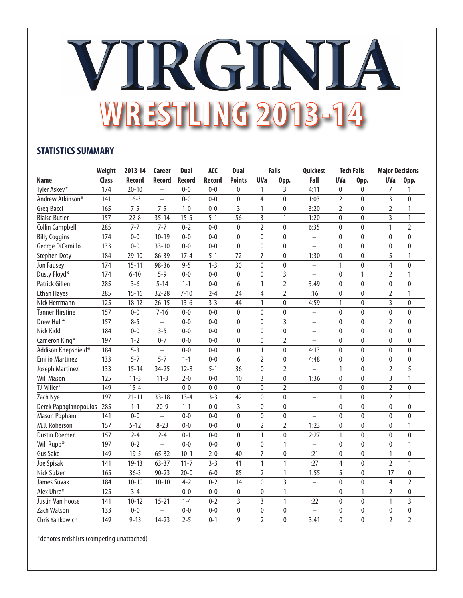## VIRGINIA **WRESTLING 2013-14**

## **STATISTICS SUMMARY**

|                        | Weight | 2013-14   | Career                   | <b>Dual</b>   | <b>ACC</b>    | <b>Dual</b>    |                | <b>Falls</b>   | Quickest                 |                | <b>Tech Falls</b> | <b>Major Decisions</b> |                |
|------------------------|--------|-----------|--------------------------|---------------|---------------|----------------|----------------|----------------|--------------------------|----------------|-------------------|------------------------|----------------|
| <b>Name</b>            | Class  | Record    | <b>Record</b>            | <b>Record</b> | <b>Record</b> | <b>Points</b>  | <b>UVa</b>     | Opp.           | Fall                     | <b>UVa</b>     | Opp.              | <b>UVa</b>             | Opp.           |
| Tyler Askey*           | 174    | $20 - 10$ | $\overline{\phantom{0}}$ | $0 - 0$       | $0 - 0$       | 0              | 1              | 3              | 4:11                     | 0              | 0                 | 7                      | 1              |
| Andrew Atkinson*       | 141    | $16 - 3$  | $\overline{\phantom{0}}$ | $0 - 0$       | $0 - 0$       | $\mathbf{0}$   | $\overline{4}$ | $\mathbf 0$    | 1:03                     | $\overline{2}$ | $\mathbf{0}$      | 3                      | $\mathbf{0}$   |
| Greg Bacci             | 165    | $7 - 5$   | $7 - 5$                  | $1 - 0$       | $0 - 0$       | $\overline{3}$ | 1              | $\mathbf{0}$   | 3:20                     | $\overline{2}$ | $\mathbf{0}$      | $\overline{2}$         | 1              |
| <b>Blaise Butler</b>   | 157    | $22 - 8$  | $35 - 14$                | $15 - 5$      | $5 - 1$       | 56             | 3              | 1              | 1:20                     | $\pmb{0}$      | $\pmb{0}$         | $\overline{3}$         | $\mathbf{1}$   |
| <b>Collin Campbell</b> | 285    | $7 - 7$   | $7 - 7$                  | $0 - 2$       | $0 - 0$       | $\mathbf{0}$   | $\overline{2}$ | $\mathbf{0}$   | 6:35                     | 0              | 0                 | 1                      | $\overline{2}$ |
| <b>Billy Coggins</b>   | 174    | $0 - 0$   | $10 - 19$                | $0-0$         | $0 - 0$       | 0              | 0              | $\mathbf{0}$   | $\overline{\phantom{0}}$ | 0              | 0                 | $\mathbf{0}$           | $\theta$       |
| George DiCamillo       | 133    | $0 - 0$   | $33 - 10$                | $0 - 0$       | $0 - 0$       | $\mathbf{0}$   | $\mathbf{0}$   | $\mathbf{0}$   | $\equiv$                 | $\bf{0}$       | $\mathbf{0}$      | $\mathbf{0}$           | $\mathbf{0}$   |
| <b>Stephen Doty</b>    | 184    | $29 - 10$ | 86-39                    | $17 - 4$      | $5 - 1$       | 72             | $\overline{7}$ | $\mathbf{0}$   | 1:30                     | $\bf{0}$       | $\mathbf 0$       | 5                      | 1              |
| Jon Fausey             | 174    | $15 - 11$ | 98-36                    | $9 - 5$       | $1-3$         | 30             | $\mathbf{0}$   | $\mathbf{0}$   | $\equiv$                 | 1              | $\pmb{0}$         | $\overline{4}$         | $\mathbf{0}$   |
| Dusty Floyd*           | 174    | $6 - 10$  | $5 - 9$                  | $0 - 0$       | $0 - 0$       | $\pmb{0}$      | $\mathbf{0}$   | 3              | $\overline{a}$           | $\pmb{0}$      | 1                 | $\overline{2}$         | 1              |
| Patrick Gillen         | 285    | $3 - 6$   | $5 - 14$                 | $1 - 1$       | $0 - 0$       | 6              | $\mathbf{1}$   | $\overline{2}$ | 3:49                     | $\pmb{0}$      | $\pmb{0}$         | $\mathbf{0}$           | $\theta$       |
| <b>Ethan Hayes</b>     | 285    | $15 - 16$ | $32 - 28$                | $7 - 10$      | $2 - 4$       | 24             | 4              | $\overline{2}$ | :16                      | $\pmb{0}$      | $\mathbf{0}$      | $\overline{2}$         | 1              |
| Nick Herrmann          | 125    | $18 - 12$ | $26 - 15$                | $13-6$        | $3 - 3$       | 44             | $\mathbf{1}$   | $\mathbf{0}$   | 4:59                     | 1              | $\mathbf{0}$      | $\overline{3}$         | $\mathbf{0}$   |
| <b>Tanner Hirstine</b> | 157    | $0-0$     | $7 - 16$                 | $0 - 0$       | $0 - 0$       | $\mathbf{0}$   | $\mathbf{0}$   | $\mathbf{0}$   | $\qquad \qquad -$        | 0              | 0                 | $\bf{0}$               | 0              |
| Drew Hull*             | 157    | $8 - 5$   | $\overline{\phantom{0}}$ | $0 - 0$       | $0 - 0$       | $\mathbf 0$    | 0              | 3              | $\overline{\phantom{0}}$ | 0              | 0                 | $\overline{2}$         | 0              |
| Nick Kidd              | 184    | $0 - 0$   | $3 - 5$                  | $0 - 0$       | $0 - 0$       | $\mathbf{0}$   | $\mathbf{0}$   | $\mathbf 0$    | $\equiv$                 | $\mathbf{0}$   | $\mathbf{0}$      | $\mathbf{0}$           | $\mathbf{0}$   |
| Cameron King*          | 197    | $1 - 2$   | $0 - 7$                  | $0 - 0$       | $0 - 0$       | $\mathbf{0}$   | $\mathbf{0}$   | $\overline{2}$ | $\equiv$                 | $\pmb{0}$      | $\mathbf{0}$      | $\mathbf{0}$           | $\mathbf{0}$   |
| Addison Knepshield*    | 184    | $5 - 3$   | $\qquad \qquad -$        | $0 - 0$       | $0 - 0$       | $\mathbf 0$    | 1              | $\mathbf{0}$   | 4:13                     | 0              | 0                 | $\pmb{0}$              | 0              |
| <b>Emilio Martinez</b> | 133    | $5 - 7$   | $5 - 7$                  | $1 - 1$       | $0 - 0$       | 6              | $\overline{2}$ | $\mathbf{0}$   | 4:48                     | 0              | 0                 | $\mathbf{0}$           | 0              |
| Joseph Martinez        | 133    | $15 - 14$ | $34 - 25$                | $12 - 8$      | $5 - 1$       | 36             | 0              | $\overline{2}$ | $\qquad \qquad -$        | 1              | 0                 | $\overline{2}$         | 5              |
| <b>Will Mason</b>      | 125    | $11-3$    | $11-3$                   | $2 - 0$       | $0 - 0$       | 10             | $\overline{3}$ | $\mathbf{0}$   | 1:36                     | $\mathbf{0}$   | $\overline{0}$    | $\overline{3}$         | 1              |
| TJ Miller*             | 149    | $15 - 4$  | $\overline{\phantom{0}}$ | $0 - 0$       | $0 - 0$       | $\mathbf{0}$   | $\mathbf{0}$   | $\overline{2}$ | $\qquad \qquad -$        | $\mathbf{0}$   | 0                 | $\overline{2}$         | 0              |
| Zach Nye               | 197    | $21 - 11$ | $33 - 18$                | $13 - 4$      | $3 - 3$       | 42             | $\mathbf{0}$   | $\mathbf{0}$   | $\overline{\phantom{0}}$ | $\mathbf{1}$   | 0                 | $\overline{2}$         | 1              |
| Derek Papagianopoulos  | 285    | $1 - 1$   | $20 - 9$                 | $1 - 1$       | $0 - 0$       | 3              | $\mathbf{0}$   | $\mathbf{0}$   | $\overline{\phantom{0}}$ | $\mathbf{0}$   | 0                 | $\mathbf{0}$           | 0              |
| Mason Popham           | 141    | $0 - 0$   | $\overline{\phantom{0}}$ | $0 - 0$       | $0 - 0$       | $\mathbf{0}$   | $\mathbf{0}$   | $\mathbf{0}$   | $\overline{\phantom{0}}$ | $\mathbf{0}$   | $\mathbf{0}$      | $\theta$               | 0              |
| M.J. Roberson          | 157    | $5 - 12$  | $8 - 23$                 | $0 - 0$       | $0 - 0$       | $\mathbf{0}$   | $\overline{2}$ | $\overline{2}$ | 1:23                     | $\mathbf{0}$   | $\pmb{0}$         | $\mathbf{0}$           | 1              |
| <b>Dustin Roemer</b>   | 157    | $2 - 4$   | $2 - 4$                  | $0 - 1$       | $0 - 0$       | $\mathbf{0}$   | $\mathbf{1}$   | $\mathbf{0}$   | 2:27                     | $\mathbf{1}$   | $\pmb{0}$         | $\mathbf{0}$           | 0              |
| Will Rupp*             | 197    | $0 - 2$   | $\overline{\phantom{0}}$ | $0 - 0$       | $0 - 0$       | $\mathbf{0}$   | $\mathbf{0}$   | $\mathbf{1}$   | $\overline{\phantom{0}}$ | $\bf{0}$       | 0                 | $\bf{0}$               | 1              |
| Gus Sako               | 149    | $19 - 5$  | $65 - 32$                | $10 - 1$      | $2 - 0$       | 40             | $\overline{7}$ | $\pmb{0}$      | :21                      | 0              | 0                 | 1                      | 0              |
| Joe Spisak             | 141    | $19 - 13$ | $63 - 37$                | $11 - 7$      | $3 - 3$       | 41             | 1              | $\mathbf{1}$   | :27                      | 4              | 0                 | $\overline{2}$         | $\mathbf{1}$   |
| <b>Nick Sulzer</b>     | 165    | $36 - 3$  | $90 - 23$                | $20 - 0$      | $6-0$         | 85             | $\overline{2}$ | $\mathbf{1}$   | 1:55                     | 5              | 0                 | 17                     | 0              |
| James Suvak            | 184    | $10 - 10$ | $10 - 10$                | $4 - 2$       | $0 - 2$       | 14             | $\mathbf{0}$   | 3              | $\equiv$                 | $\bf{0}$       | 0                 | 4                      | 2              |
| Alex Uhre*             | 125    | $3 - 4$   | $\equiv$                 | $0 - 0$       | $0-0$         | $\pmb{0}$      | $\pmb{0}$      | $\mathbf{1}$   | $\overline{\phantom{0}}$ | 0              | 1                 | $\overline{2}$         | 0              |
| Justin Van Hoose       | 141    | $10 - 12$ | $15 - 21$                | $1 - 4$       | $0 - 2$       | 3              | $\overline{3}$ | 1              | :22                      | 0              | 0                 | 1                      | 3              |
| Zach Watson            | 133    | $0 - 0$   | $\overline{\phantom{0}}$ | $0 - 0$       | $0-0$         | $\mathbf{0}$   | $\pmb{0}$      | $\pmb{0}$      | $\equiv$                 | $\bf{0}$       | $\mathbf 0$       | $\pmb{0}$              | $\mathbf 0$    |
| Chris Yankowich        | 149    | $9 - 13$  | $14 - 23$                | $2 - 5$       | $0 - 1$       | 9              | $\overline{2}$ | $\mathbf 0$    | 3:41                     | $\mathbf 0$    | 0                 | $\overline{2}$         | $\overline{2}$ |

\*denotes redshirts (competing unattached)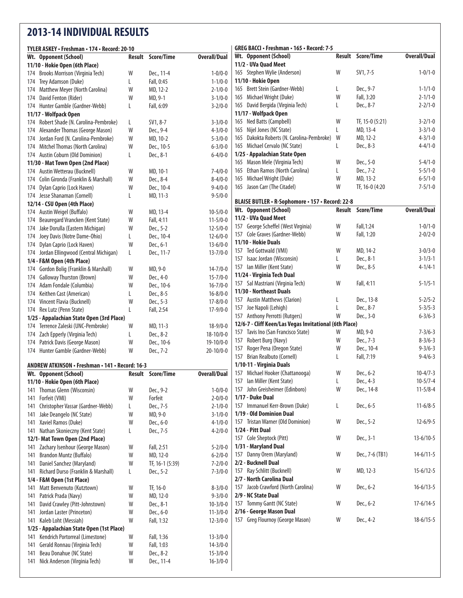## **2013-14 INDIVIDUAL RESULTS**

| TYLER ASKEY • Freshman • 174 • Record: 20-10                                     |        |                   |                                  | GREG BACCI • Freshman • 165 • Record: 7-5              |   |                          |                     |
|----------------------------------------------------------------------------------|--------|-------------------|----------------------------------|--------------------------------------------------------|---|--------------------------|---------------------|
| Wt. Opponent (School)                                                            | Result | Score/Time        | <b>Overall/Dual</b>              | Wt. Opponent (School)                                  |   | Result Score/Time        | <b>Overall/Dual</b> |
| 11/10 - Hokie Open (6th Place)                                                   |        |                   |                                  | 11/2 - UVa Quad Meet                                   |   |                          |                     |
| 174 Brooks Morrison (Virginia Tech)                                              | W      | Dec., 11-4        | $1 - 0/0 - 0$                    | 165 Stephen Wylie (Anderson)                           | W | SV1, 7-5                 | $1 - 0/1 - 0$       |
| 174 Trey Adamson (Duke)                                                          | L      | Fall, 0:45        | $1 - 1/0 - 0$                    | 11/10 - Hokie Open                                     |   |                          |                     |
| 174 Matthew Meyer (North Carolina)                                               | W      | MD, 12-2          | $2 - 1/0 - 0$                    | 165 Brett Stein (Gardner-Webb)                         | L | Dec., 9-7                | $1 - 1/1 - 0$       |
| 174 David Fenton (Rider)                                                         | W      | MD, 9-1           | $3 - 1/0 - 0$                    | 165 Michael Wright (Duke)                              | W | Fall, 3:20               | $2 - 1/1 - 0$       |
| 174 Hunter Gamble (Gardner-Webb)                                                 | L      | Fall, 6:09        | $3 - 2/0 - 0$                    | 165 David Bergida (Virginia Tech)                      | L | Dec., 8-7                | $2 - 2/1 - 0$       |
| 11/17 - Wolfpack Open                                                            |        |                   |                                  | 11/17 - Wolfpack Open                                  |   |                          |                     |
| 174 Robert Shade (N. Carolina-Pembroke)                                          | L      | SV1, 8-7          | $3 - 3/0 - 0$                    | 165 Ned Batts (Campbell)                               | W | TF, 15-0 $(5:21)$        | $3 - 2/1 - 0$       |
| 174 Alexander Thomas (George Mason)                                              | W      | Dec., 9-4         | $4 - 3/0 - 0$                    | 165 Nijel Jones (NC State)                             | L | MD, 13-4                 | $3 - 3/1 - 0$       |
| 174 Jordan Ford (N. Carolina-Pembroke)                                           | W      | MD, 10-2          | $5 - 3/0 - 0$                    | 165 Dakokta Roberts (N. Carolina-Pembroke)             | W | MD, 12-2                 | $4 - 3/1 - 0$       |
| 174 Mitchel Thomas (North Carolina)                                              | W      | Dec., 10-5        | $6 - 3/0 - 0$                    | 165 Michael Cervalo (NC State)                         | L | Dec., 8-3                | $4 - 4/1 - 0$       |
| 174 Austin Coburn (Old Dominion)                                                 | L      | Dec., 8-1         | $6 - 4/0 - 0$                    | 1/25 - Appalachian State Open                          |   |                          |                     |
| 11/30 - Mat Town Open (2nd Place)                                                |        |                   |                                  | 165 Mason Mele (Virginia Tech)                         | W | Dec., 5-0                | $5 - 4/1 - 0$       |
| 174 Austin Wetterau (Bucknell)                                                   | W      | MD, 10-1          | $7 - 4/0 - 0$                    | 165 Ethan Ramos (North Carolina)                       | L | Dec., 7-2                | $5 - 5/1 - 0$       |
| 174 Colin Gironda (Franklin & Marshall)                                          | W      | Dec., 8-4         | $8 - 4/0 - 0$                    | 165 Michael Wright (Duke)                              | W | MD, 13-2                 | $6 - 5/1 - 0$       |
| 174 Dylan Caprio (Lock Haven)                                                    | W      | Dec., 10-4        | $9 - 4/0 - 0$                    | 165 Jason Carr (The Citadel)                           | W | TF, 16-0 (4:20           | $7 - 5/1 - 0$       |
| 174 Jesse Shanaman (Cornell)                                                     | L      | MD, 11-3          | $9 - 5/0 - 0$                    |                                                        |   |                          |                     |
| 12/14 - CSU Open (4th Place)                                                     |        |                   |                                  | BLAISE BUTLER • R-Sophomore • 157 • Record: 22-8       |   |                          |                     |
| 174 Austin Weigel (Buffalo)                                                      | W      | MD, 13-4          | $10 - 5/0 - 0$                   | Wt. Opponent (School)                                  |   | <b>Result Score/Time</b> | <b>Overall/Dual</b> |
| Beauregard Vrancken (Kent State)<br>174                                          | W      | Fall, 4:11        | $11 - 5/0 - 0$                   | 11/2 - UVa Quad Meet                                   |   |                          |                     |
| 174 Jake Dorulla (Eastern Michigan)                                              | W      | Dec., 5-2         | $12 - 5/0 - 0$                   | 157 George Scheffel (West Virginia)                    | W | Fall, 1:24               | $1 - 0/1 - 0$       |
| Joey Davis (Notre Dame-Ohio)<br>174                                              | L      | Dec., 10-4        | $12 - 6/0 - 0$                   | 157 Cole Graves (Gardner-Webb)                         | W | Fall, 1:20               | $2 - 0/2 - 0$       |
| 174 Dylan Caprio (Lock Haven)                                                    | W      | Dec., 6-1         | $13 - 6/0 - 0$                   | 11/10 - Hokie Duals                                    |   |                          |                     |
| 174 Jordan Ellingwood (Central Michigan)                                         | L.     | Dec., 11-7        | $13 - 7/0 - 0$                   | 157 Ted Gottwald (VMI)                                 | W | MD, 14-2                 | $3 - 0/3 - 0$       |
| 1/4 - F&M Open (4th Place)                                                       |        |                   |                                  | 157 Isaac Jordan (Wisconsin)                           | L | Dec., 8-1                | $3 - 1/3 - 1$       |
| 174 Gordon Bolig (Franklin & Marshall)                                           | W      | MD, 9-0           | $14 - 7/0 - 0$                   | 157 Ian Miller (Kent State)                            | W | Dec., 8-5                | $4 - 1/4 - 1$       |
| 174 Galloway Thurston (Brown)                                                    | W      | Dec., 4-0         | $15 - 7/0 - 0$                   | 11/24 - Virginia Tech Dual                             |   |                          |                     |
| 174 Adam Fondale (Columbia)                                                      | W      | Dec., 10-6        | $16 - 7/0 - 0$                   | 157 Sal Mastriani (Virginia Tech)                      | W | Fall, 4:11               | $5 - 1/5 - 1$       |
| 174 Keithen Cast (American)                                                      | L      | Dec., 8-5         | $16 - 8/0 - 0$                   | 11/30 - Northeast Duals                                |   |                          |                     |
| 174 Vincent Flavia (Bucknell)                                                    | W      | Dec., 5-3         | $17 - 8/0 - 0$                   | 157 Austin Matthews (Clarion)                          | L | Dec., 13-8               | $5 - 2/5 - 2$       |
| 174 Rex Lutz (Penn State)                                                        | L      | Fall, 2:54        | $17-9/0-0$                       | 157 Joe Napoli (Lehigh)                                | L | Dec., 8-7                | $5 - 3/5 - 3$       |
|                                                                                  |        |                   |                                  | 157 Anthony Perrotti (Rutgers)                         | W | Dec., 3-0                | $6 - 3/6 - 3$       |
| 1/25 - Appalachian State Open (3rd Place)<br>174 Terrence Zaleski (UNC-Pembroke) | W      | MD, 11-3          | $18-9/0-0$                       | 12/6-7 - Cliff Keen/Las Vegas Invitational (6th Place) |   |                          |                     |
|                                                                                  |        | Dec., 8-2         | $18-10/0-0$                      | 157 Tavis Ino (San Francisco State)                    | W | MD, 9-0                  | $7 - 3/6 - 3$       |
| 174 Zach Epperly (Virginia Tech)<br>174 Patrick Davis (George Mason)             | L<br>W | Dec., 10-6        | 19-10/0-0                        | 157 Robert Burg (Navy)                                 | W | Dec., 7-3                | $8 - 3/6 - 3$       |
| 174 Hunter Gamble (Gardner-Webb)                                                 | W      | Dec., 7-2         | $20-10/0-0$                      | Roger Pena (Oregon State)<br>157                       | W | Dec., 10-4               | $9 - 3/6 - 3$       |
|                                                                                  |        |                   |                                  | 157 Brian Realbuto (Cornell)                           | L | Fall, 7:19               | $9 - 4/6 - 3$       |
| ANDREW ATKINSON • Freshman • 141 • Record: 16-3                                  |        |                   |                                  | 1/10-11 - Virginia Duals                               |   |                          |                     |
| Wt. Opponent (School)                                                            |        | Result Score/Time | <b>Overall/Dual</b>              | 157 Michael Hooker (Chattanooga)                       | W | Dec., 6-2                | $10 - 4/7 - 3$      |
| 11/10 - Hokie Open (6th Place)                                                   |        |                   |                                  | 157 Ian Miller (Kent State)                            | L | Dec., 4-3                | $10-5/7-4$          |
| 141 Thomas Glenn (Wisconsin)                                                     | W      | Dec., 9-2         | $1 - 0/0 - 0$                    | 157 John Greisheimer (Edinboro)                        | W | Dec., 14-8               | $11 - 5/8 - 4$      |
| Forfeit (VMI)<br>141                                                             | W      | Forfeit           | $2 - 0/0 - 0$                    | 1/17 - Duke Dual                                       |   |                          |                     |
| Christopher Vassar (Gardner-Webb)<br>141                                         | L.     | Dec., 7-5         | $2 - 1/0 - 0$                    | 157 Immanuel Kerr-Brown (Duke)                         | L | Dec., 6-5                | $11-6/8-5$          |
| Jake Deangelo (NC State)<br>141                                                  | W      | MD, 9-0           | $3 - 1/0 - 0$                    | 1/19 - Old Dominion Dual                               |   |                          |                     |
| Xaviel Ramos (Duke)<br>141                                                       | W      | Dec., 6-0         | $4 - 1/0 - 0$                    | 157 Tristan Warner (Old Dominion)                      | W | Dec., 5-2                | $12 - 6/9 - 5$      |
| Nathan Skonieczny (Kent State)<br>141                                            | L.     | Dec., 7-5         | $4 - 2/0 - 0$                    | 1/24 - Pitt Dual                                       |   |                          |                     |
| 12/1- Mat Town Open (2nd Place)                                                  |        |                   |                                  | 157 Cole Sheptock (Pitt)                               | W | Dec., 3-1                | $13 - 6/10 - 5$     |
| Zachary Isenhour (George Mason)<br>141                                           | W      | Fall, 2:51        | $5 - 2/0 - 0$                    | 1/31 - Maryland Dual                                   |   |                          |                     |
| Brandon Muntz (Buffalo)<br>141                                                   | W      | MD, 12-0          | $6 - 2/0 - 0$                    | 157 Danny Orem (Maryland)                              | W | Dec., 7-6 (TB1)          | $14 - 6/11 - 5$     |
| Daniel Sanchez (Maryland)<br>141                                                 | W      | TF, 16-1 (5:39)   | $7 - 2/0 - 0$                    | 2/2 - Bucknell Dual                                    |   |                          |                     |
| Richard Durso (Franklin & Marshall)<br>141                                       | L.     | Dec., 5-2         | $7 - 3/0 - 0$                    | 157 Ray Schlitt (Bucknell)                             | W | MD, 12-3                 | $15 - 6/12 - 5$     |
| 1/4 - F&M Open (1st Place)                                                       |        |                   |                                  | 2/7 - North Carolina Dual                              |   |                          |                     |
| Matt Benvenuto (Kutztown)                                                        | W      | TF, 16-0          | $8 - 3/0 - 0$                    | 157 Jacob Crawford (North Carolina)                    | W | Dec., 6-2                | $16 - 6/13 - 5$     |
| 141<br>Patrick Prada (Navy)<br>141                                               | W      | MD, 12-0          | $9 - 3/0 - 0$                    | 2/9 - NC State Dual                                    |   |                          |                     |
| David Crawley (Pitt-Johnstown)                                                   | W      | Dec., 8-1         | $10-3/0-0$                       | 157 Tommy Gantt (NC State)                             | W | Dec., 6-2                | $17 - 6/14 - 5$     |
| 141                                                                              |        | Dec., 6-0         |                                  | 2/16 - George Mason Dual                               |   |                          |                     |
| Jordan Laster (Princeton)<br>141<br>Kaleb Loht (Messiah)                         | W<br>W | Fall, 1:32        | $11 - 3/0 - 0$<br>$12 - 3/0 - 0$ | 157 Greg Flournoy (George Mason)                       | W | Dec., 4-2                | $18 - 6/15 - 5$     |
| 141<br>1/25 - Appalachian State Open (1st Place)                                 |        |                   |                                  |                                                        |   |                          |                     |
| Kendrich Portorreal (Limestone)                                                  | W      | Fall, 1:36        | $13 - 3/0 - 0$                   |                                                        |   |                          |                     |
| 141<br>Gerald Ronnau (Virginia Tech)                                             | W      | Fall, 1:03        | $14 - 3/0 - 0$                   |                                                        |   |                          |                     |
| 141<br>Beau Donahue (NC State)                                                   | W      | Dec., 8-2         | $15 - 3/0 - 0$                   |                                                        |   |                          |                     |
| 141<br>141 Nick Anderson (Virginia Tech)                                         | W      | Dec., 11-4        | $16 - 3/0 - 0$                   |                                                        |   |                          |                     |
|                                                                                  |        |                   |                                  |                                                        |   |                          |                     |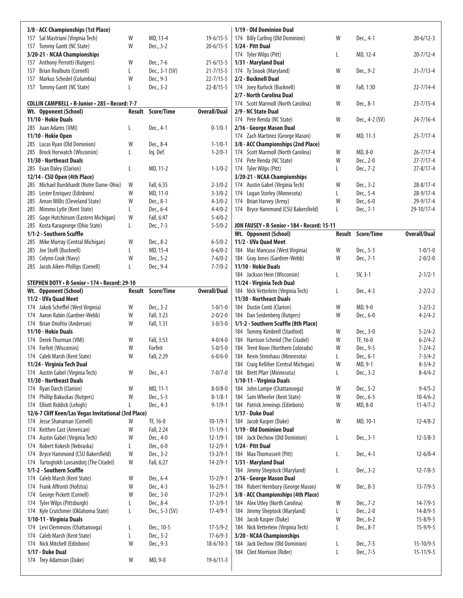| 3/8 - ACC Championships (1st Place)                            |        |                          |                                | 1/19 - Old Dominion Dual                                         |        |                          |                     |
|----------------------------------------------------------------|--------|--------------------------|--------------------------------|------------------------------------------------------------------|--------|--------------------------|---------------------|
| Sal Mastriani (Virginia Tech)<br>157                           | W      | MD, 13-4                 | $19-6/15-5$                    | 174 Billy Curling (Old Dominion)                                 | W      | Dec., 4-1                | $20 - 6/12 - 3$     |
| Tommy Gantt (NC State)<br>157                                  | W      | Dec., 3-2                | $20 - 6/15 - 5$                | 1/24 - Pitt Dual                                                 |        |                          |                     |
| 3/20-21 - NCAA Championships                                   |        |                          |                                | 174 Tyler Wilps (Pitt)                                           | L      | MD, 12-4                 | $20 - 7/12 - 4$     |
| Anthony Perrotti (Rutgers)<br>157                              | W      | Dec., 7-6                | $21 - 6/15 - 5$                | 1/31 - Maryland Dual                                             |        |                          |                     |
| Brian Realbuto (Cornell)<br>157                                | L      | Dec., 3-1 (SV)           | $21 - 7/15 - 5$                | 174 Ty Snook (Maryland)                                          | W      | Dec., 9-2                | $21 - 7/13 - 4$     |
| Markus Schedel (Columbia)<br>157                               | W      | Dec., 9-3                | $22 - 7/15 - 5$                | 2/2 - Bucknell Dual                                              |        |                          |                     |
| Tommy Gantt (NC State)<br>157                                  | L      | Dec., 3-2                | $22 - 8/15 - 5$                | 174 Joey Kurlock (Bucknell)                                      | W      | Fall, 1:30               | $22 - 7/14 - 4$     |
|                                                                |        |                          |                                | 2/7 - North Carolina Dual                                        |        |                          |                     |
| COLLIN CAMPBELL . R-Junior . 285 . Record: 7-7                 |        | <b>Result Score/Time</b> | <b>Overall/Dual</b>            | 174 Scott Marmoll (North Carolina)                               | W      | Dec., 8-1                | $23 - 7/15 - 4$     |
| Wt. Opponent (School)<br>11/10 - Hokie Duals                   |        |                          |                                | 2/9 - NC State Dual                                              | W      |                          | $24 - 7/16 - 4$     |
| 285 Juan Adams (VMI)                                           | L      | Dec., 4-1                | $0 - 1/0 - 1$                  | 174 Pete Renda (NC State)<br>2/16 - George Mason Dual            |        | Dec., 4-2 (SV)           |                     |
| 11/10 - Hokie Open                                             |        |                          |                                | 174 Zach Martinez (George Mason)                                 | W      | MD, 11-3                 | $25 - 7/17 - 4$     |
| Lucas Ryan (Old Dominion)<br>285                               | W      | Dec., 8-4                | $1 - 1/0 - 1$                  | 3/8 - ACC Championships (2nd Place)                              |        |                          |                     |
| <b>Brock Horwatch (Wisconsin)</b><br>285                       | L      | Inj. Def.                | $1 - 2/0 - 1$                  | 174 Scott Marmoll (North Carolina)                               | W      | MD, 8-0                  | $26 - 7/17 - 4$     |
| 11/30 - Northeast Duals                                        |        |                          |                                | 174 Pete Renda (NC State)                                        | W      | Dec., 2-0                | $27 - 7/17 - 4$     |
| Evan Daley (Clarion)<br>285                                    | L      | MD, 11-2                 | $1 - 3/0 - 2$                  | 174 Tyler Wilps (Pitt)                                           | L      | Dec., 7-2                | $27 - 8/17 - 4$     |
| 12/14 - CSU Open (4th Place)                                   |        |                          |                                | 3/20-21 - NCAA Championships                                     |        |                          |                     |
| Michael Burckhardt (Notre Dame-Ohio)<br>285                    | W      | Fall, 6:35               | $2 - 3/0 - 2$                  | 174 Austin Gabel (Virginia Tech)                                 | W      | Dec., 3-2                | $28 - 8/17 - 4$     |
| Lester Enriquez (Edinboro)<br>285                              | W      | MD, 11-0                 | $3 - 3/0 - 2$                  | 174 Logan Storley (Minnesota)                                    | L      | Dec., 5-4                | $28 - 9/17 - 4$     |
| Amon Willis (Cleveland State)<br>285                           | W      | Dec., 8-1                | $4 - 3/0 - 2$                  | 174 Brian Harvey (Army)                                          | W      | Dec., 6-0                | 29-9/17-4           |
| Mimmo Lytle (Kent State)<br>285                                | L      | Dec., 6-4                | $4 - 4/0 - 2$                  | 174 Bryce Hammond (CSU Bakersfield)                              | L      | Dec., 7-1                | 29-10/17-4          |
| Gage Hutchinson (Eastern Michigan)<br>285                      | W      | Fall, 6:47               | $5 - 4/0 - 2$                  |                                                                  |        |                          |                     |
| Kosta Karageorge (Ohio State)<br>285                           | L      | Dec., 7-3                | $5 - 5/0 - 2$                  | JON FAUSEY . R-Senior . 184 . Record: 15-11                      |        |                          |                     |
| 1/1-2 - Southern Scuffle                                       |        |                          |                                | Wt. Opponent (School)                                            |        | <b>Result Score/Time</b> | <b>Overall/Dual</b> |
| Mike Murray (Central Michigan)<br>285<br>Joe Stolfi (Bucknell) | W<br>L | Dec., 8-2<br>MD, 15-4    | $6 - 5/0 - 2$                  | 11/2 - UVa Quad Meet                                             | W      |                          | $1 - 0/1 - 0$       |
| 285<br>Colynn Cook (Navy)<br>285                               | W      | Dec., 5-2                | $6 - 6/0 - 2$<br>$7 - 6/0 - 2$ | 184 Mac Mancuso (West Virginia)<br>184 Gray Jones (Gardner-Webb) | W      | Dec., 5-3<br>Dec., 7-1   | $2 - 0/2 - 0$       |
| Jacob Aiken-Phillips (Cornell)<br>285                          | L      | Dec., 9-4                | $7 - 7/0 - 2$                  | 11/10 - Hokie Duals                                              |        |                          |                     |
|                                                                |        |                          |                                | 184 Jackson Hein (Wisconsin)                                     | L      | $SV, 3-1$                | $2 - 1/2 - 1$       |
| STEPHEN DOTY · R-Senior · 174 · Record: 29-10                  |        |                          |                                | 11/24 - Virginia Tech Dual                                       |        |                          |                     |
| Wt. Opponent (School)                                          |        | <b>Result Score/Time</b> | <b>Overall/Dual</b>            | 184 Nick Vetterlein (Virginia Tech)                              | L      | Dec., 4-3                | $2 - 2/2 - 2$       |
| 11/2 - UVa Quad Meet                                           |        |                          |                                |                                                                  |        |                          |                     |
|                                                                |        |                          |                                | 11/30 - Northeast Duals                                          |        |                          |                     |
| 174 Jakob Scheffel (West Virginia)                             | W      | Dec., 3-2                | $1 - 0/1 - 0$                  | 184 Dustin Conti (Clarion)                                       | W      | MD, 9-0                  | $3 - 2/3 - 2$       |
| Aaron Rabin (Gardner-Webb)<br>174                              | W      | Fall, 3:23               | $2 - 0/2 - 0$                  | 184 Dan Seidenberg (Rutgers)                                     | W      | Dec., 6-0                | $4 - 2/4 - 2$       |
| 174 Brian Onofrio (Anderson)                                   | W      | Fall, 1:31               | $3 - 0/3 - 0$                  | 1/1-2 - Southern Scuffle (8th Place)                             |        |                          |                     |
| 11/10 - Hokie Duals                                            |        |                          |                                | 184 Tommy Kimbrell (Stanford)                                    | W      | Dec., 3-0                | $5 - 2/4 - 2$       |
| Derek Thurman (VMI)<br>174                                     | W      | Fall, 3:53               | $4 - 0/4 - 0$                  | 184 Harrison Schmid (The Citadel)                                | W      | TF, 16-0                 | $6 - 2/4 - 2$       |
| Forfeit (Wisconsin)<br>174                                     | W      | Forfeit                  | $5 - 0/5 - 0$                  | 184 Trent Noon (Northern Colorado)                               | W      | Dec., 9-5                | $7 - 2/4 - 2$       |
| 174 Caleb Marsh (Kent State)                                   | W      | Fall, 2:29               | $6 - 0/6 - 0$                  | 184 Kevin Steinhaus (Minnesota)                                  | L      | Dec., 6-1                | $7 - 3/4 - 2$       |
| 11/24 - Virginia Tech Dual                                     |        |                          |                                | 184 Craig Kelliher (Central Michigan)                            | W      | MD, 9-1                  | $8 - 3/4 - 2$       |
| 174 Austin Gabel (Virginia Tech)                               | W      | Dec., 4-1                | $7 - 0/7 - 0$                  | 184 Brett Pfarr (Minnesota)                                      | L      | Dec., 3-2                | $8-4/4-2$           |
| 11/30 - Northeast Duals                                        |        |                          |                                | 1/10-11 - Virginia Duals                                         |        |                          |                     |
| Ryan Darch (Clarion)<br>174                                    | W      | MD, 11-1                 | $8 - 0/8 - 0$                  | 184 John Lampe (Chattanooga)                                     | W      | Dec., 5-2                | $9 - 4/5 - 2$       |
| Phillip Bakuckas (Rutgers)<br>174                              | W      | Dec., 5-3                | $8 - 1/8 - 1$                  | 184 Sam Wheeler (Kent State)                                     | W      | Dec., 6-5                | $10-4/6-2$          |
| Elliott Riddick (Lehigh)<br>174                                | L      | Dec., 4-3                | $9 - 1/9 - 1$                  | 184 Patrick Jennings (Edinboro)                                  | W      | MD, 8-0                  | $11 - 4/7 - 2$      |
| 12/6-7 Cliff Keen/Las Vegas Invitational (3rd Place)<br>174    | W      |                          | $10-1/9-1$                     | 1/17 - Duke Dual                                                 | W      | MD, 10-1                 |                     |
| Jesse Shanaman (Cornell)<br>Keithen Cast (American)<br>174     | W      | TF, 16-0<br>Fall, 2:24   | $11 - 1/9 - 1$                 | 184 Jacob Kasper (Duke)<br>1/19 - Old Dominion Dual              |        |                          | $12 - 4/8 - 2$      |
| Austin Gabel (Virginia Tech)<br>174                            | W      | Dec., 4-0                | $12 - 1/9 - 1$                 | 184 Jack Dechow (Old Dominion)                                   | L      | Dec., 3-1                | $12 - 5/8 - 3$      |
| Robert Kokesh (Nebraska)<br>174                                | L      | Dec., 6-0                | $12 - 2/9 - 1$                 | 1/24 - Pitt Dual                                                 |        |                          |                     |
| Bryce Hammond (CSU Bakersfield)<br>174                         | W      | Dec., 3-2                | $13 - 2/9 - 1$                 | 184 Max Thomusseit (Pitt)                                        | L      | Dec., 4-3                | $12 - 6/8 - 4$      |
| Turtogtokh Luvsandorj (The Citadel)<br>174                     | W      | Fall, 6:27               | $14 - 2/9 - 1$                 | 1/31 - Maryland Dual                                             |        |                          |                     |
| 1/1-2 - Southern Scuffle                                       |        |                          |                                | 184 Jimmy Sheptock (Maryland)                                    | L      | Dec., 3-2                | $12 - 7/8 - 5$      |
| Caleb Marsh (Kent State)<br>174                                | W      | Dec., 6-4                | $15 - 2/9 - 1$                 | 2/16 - George Mason Dual                                         |        |                          |                     |
| Frank Affronti (Hofstra)<br>174                                | W      | Dec., 4-3                | $16 - 2/9 - 1$                 | 184 Robert Hernbury (George Mason)                               | W      | Dec., 8-3                | $13 - 7/9 - 5$      |
| George Pickett (Cornell)<br>174                                | W      | Dec., 3-0                | $17 - 2/9 - 1$                 | 3/8 - ACC Championships (4th Place)                              |        |                          |                     |
| Tyler Wilps (Pittsburgh)<br>174                                | L      | Dec., 8-4                | $17 - 3/9 - 1$                 | 184 Alex Utley (North Carolina)                                  | W      | Dec., 7-2                | $14 - 7/9 - 5$      |
| Kyle Crutchmer (Oklahoma State)<br>174                         | L      | Dec., 5-3 (SV)           | $17 - 4/9 - 1$                 | 184 Jimmy Sheptock (Maryland)                                    | L      | Dec., 2-0                | $14 - 8/9 - 5$      |
| 1/10-11 - Virginia Duals                                       |        |                          |                                | 184 Jacob Kasper (Duke)                                          | W      | Dec., 6-2                | $15 - 8/9 - 5$      |
| Levi Clemmons (Chattanooga)<br>174                             | L      | Dec., 10-5               | $17 - 5/9 - 2$                 | 184 Nick Vetterlein (Virginia Tech)                              | L      | Dec., 8-7                | $15-9/9-5$          |
| Caleb Marsh (Kent State)<br>174                                | L      | Dec., 3-2                | $17 - 6/9 - 3$                 | 3/20 - NCAA Championships                                        |        |                          |                     |
| 174 Nick Mitchell (Edinboro)<br>1/17 - Duke Dual               | W      | Dec., 9-3                | $18-6/10-3$                    | 184 Jack Dechow (Old Dominion)                                   | L<br>L | Dec., 7-5                | $15 - 10/9 - 5$     |
| 174 Trey Adamson (Duke)                                        | W      | MD, 9-0                  | $19-6/11-3$                    | 184 Clint Morrison (Rider)                                       |        | Dec., 7-5                | $15 - 11/9 - 5$     |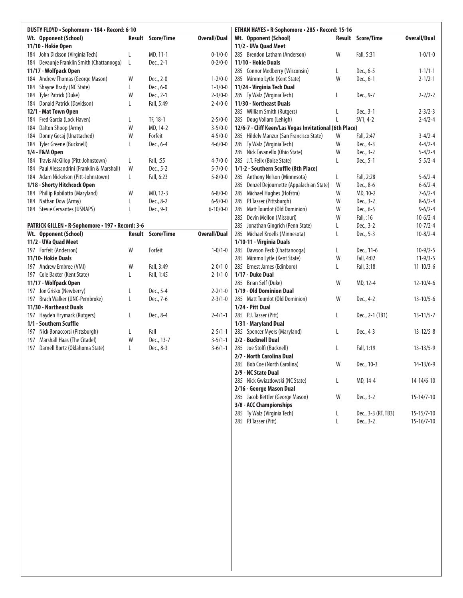| DUSTY FLOYD · Sophomore · 184 · Record: 6-10            |        |            |                     | ETHAN HAYES · R-Sophomore · 285 · Record: 15-16        |        |                 |                     |
|---------------------------------------------------------|--------|------------|---------------------|--------------------------------------------------------|--------|-----------------|---------------------|
| Wt. Opponent (School)                                   | Result | Score/Time | <b>Overall/Dual</b> | Wt. Opponent (School)                                  | Result | Score/Time      | <b>Overall/Dual</b> |
| 11/10 - Hokie Open                                      |        |            |                     | 11/2 - UVa Quad Meet                                   |        |                 |                     |
| 184 John Dickson (Virginia Tech)                        | L      | MD, 11-1   | $0 - 1/0 - 0$       | 285 Brendon Latham (Anderson)                          | W      | Fall, 5:31      | $1 - 0/1 - 0$       |
| 184 Devaunje Franklin Smith (Chattanooga)               | L      | Dec., 2-1  | $0 - 2/0 - 0$       | 11/10 - Hokie Duals                                    |        |                 |                     |
| 11/17 - Wolfpack Open                                   |        |            |                     | 285 Connor Medberry (Wisconsin)                        | L      | Dec., 6-5       | $1 - 1/1 - 1$       |
| 184 Andrew Thomas (George Mason)                        | W      | Dec., 2-0  | $1 - 2/0 - 0$       | 285 Mimmo Lytle (Kent State)                           | W      | Dec., 6-1       | $2 - 1/2 - 1$       |
| Shayne Brady (NC State)<br>184                          | L      | Dec., 6-0  | $1 - 3/0 - 0$       | 11/24 - Virginia Tech Dual                             |        |                 |                     |
| Tyler Patrick (Duke)<br>184                             | W      | Dec., 2-1  | $2 - 3/0 - 0$       | 285 Ty Walz (Virginia Tech)                            | L      | Dec., 9-7       | $2 - 2/2 - 2$       |
| 184 Donald Patrick (Davidson)                           | L      | Fall, 5:49 | $2 - 4/0 - 0$       | 11/30 - Northeast Duals                                |        |                 |                     |
| 12/1 - Mat Town Open                                    |        |            |                     | 285 William Smith (Rutgers)                            | L      | Dec., 3-1       | $2 - 3/2 - 3$       |
| Fred Garcia (Lock Haven)<br>184                         | L      | TF, 18-1   | $2 - 5/0 - 0$       | 285 Doug Vollaro (Lehigh)                              | L      | $SV1, 4-2$      | $2 - 4/2 - 4$       |
| Dalton Shoop (Army)<br>184                              | W      | MD, 14-2   | $3 - 5/0 - 0$       | 12/6-7 - Cliff Keen/Las Vegas Invitational (6th Place) |        |                 |                     |
| Donny Gecaj (Unattached)<br>184                         | W      | Forfeit    | $4 - 5/0 - 0$       | 285 Hildelv Manzur (San Francisco State)               | W      | Fall, 2:47      | $3 - 4/2 - 4$       |
| 184 Tyler Greene (Bucknell)                             | L      | Dec., 6-4  | $4 - 6/0 - 0$       | Ty Walz (Virginia Tech)<br>285                         | W      | Dec., 4-3       | $4 - 4/2 - 4$       |
| 1/4 - F&M Open                                          |        |            |                     | 285 Nick Tavanello (Ohio State)                        | W      | Dec., 3-2       | $5 - 4/2 - 4$       |
| Travis McKillop (Pitt-Johnstown)<br>184                 | L      | Fall, :55  | $4 - 7/0 - 0$       | 285 J.T. Felix (Boise State)                           | L      | Dec., 5-1       | $5 - 5/2 - 4$       |
| Paul Alessandrini (Franklin & Marshall)<br>184          | W      | Dec., 5-2  | $5 - 7/0 - 0$       | 1/1-2 - Southern Scuffle (8th Place)                   |        |                 |                     |
| Adam Nickelson (Pitt-Johnstown)<br>184                  | L      | Fall, 6:23 | $5 - 8/0 - 0$       | 285 Anthony Nelson (Minnesota)                         | L      | Fall, 2:28      | $5 - 6/2 - 4$       |
| 1/18 - Shorty Hitchcock Open                            |        |            |                     | 285<br>Denzel Dejournette (Appalachian State)          | W      | Dec., 8-6       | $6 - 6/2 - 4$       |
| Phillip Robilotto (Maryland)<br>184                     | W      | MD, 12-3   | $6 - 8/0 - 0$       | 285<br>Michael Hughes (Hofstra)                        | W      | MD, 10-2        | $7 - 6/2 - 4$       |
| Nathan Dow (Army)<br>184                                | L      | Dec., 8-2  | $6 - 9/0 - 0$       | 285<br>PJ Tasser (Pittsburgh)                          | W      | Dec., 3-2       | $8-6/2-4$           |
| 184 Stevie Cervantes (USNAPS)                           | L      | Dec., 9-3  | $6 - 10/0 - 0$      | <b>Matt Tourdot (Old Dominion)</b><br>285              | W      | Dec., 6-5       | $9 - 6/2 - 4$       |
|                                                         |        |            |                     | 285<br>Devin Mellon (Missouri)                         | W      | Fall, :16       | $10-6/2-4$          |
| <b>PATRICK GILLEN • R-Sophomore • 197 • Record: 3-6</b> |        |            |                     | 285<br>Jonathan Gingrich (Penn State)                  | L      | Dec., 3-2       | $10 - 7/2 - 4$      |
| Wt. Opponent (School)                                   | Result | Score/Time | <b>Overall/Dual</b> | 285<br>Michael Kroells (Minnesota)                     | L      | Dec., 5-3       | $10 - 8/2 - 4$      |
| 11/2 - UVa Quad Meet                                    |        |            |                     | 1/10-11 - Virginia Duals                               |        |                 |                     |
| 197 Forfeit (Anderson)                                  | W      | Forfeit    | $1 - 0/1 - 0$       | 285<br>Dawson Peck (Chattanooga)                       | L      | Dec., 11-6      | $10-9/2-5$          |
| 11/10- Hokie Duals                                      |        |            |                     | 285<br>Mimmo Lytle (Kent State)                        | W      | Fall, 4:02      | $11-9/3-5$          |
| 197 Andrew Embree (VMI)                                 | W      | Fall, 3:49 | $2 - 0/1 - 0$       | 285 Ernest James (Edinboro)                            | L      | Fall, 3:18      | $11 - 10/3 - 6$     |
| 197 Cole Baxter (Kent State)                            | L      | Fall, 1:45 | $2 - 1/1 - 0$       | 1/17 - Duke Dual                                       |        |                 |                     |
| 11/17 - Wolfpack Open                                   |        |            |                     | 285 Brian Self (Duke)                                  | W      | MD, 12-4        | $12 - 10/4 - 6$     |
| 197 Joe Grisko (Newberry)                               | L      | Dec., 5-4  | $2 - 2/1 - 0$       | 1/19 - Old Dominion Dual                               |        |                 |                     |
| 197 Brach Walker (UNC-Pembroke)                         | L      | Dec., 7-6  | $2 - 3/1 - 0$       | 285 Matt Tourdot (Old Dominion)                        | W      | Dec., 4-2       | $13 - 10/5 - 6$     |
| 11/30 - Northeast Duals                                 |        |            |                     | 1/24 - Pitt Dual                                       |        |                 |                     |
| 197 Hayden Hrymack (Rutgers)                            | L      | Dec., 8-4  | $2 - 4/1 - 1$       | 285 P.J. Tasser (Pitt)                                 | L      | Dec., 2-1 (TB1) | $13 - 11/5 - 7$     |
| 1/1 - Southern Scuffle                                  |        |            |                     | 1/31 - Maryland Dual                                   |        |                 |                     |
| 197 Nick Bonaccorsi (Pittsburgh)                        | L      | Fall       | $2 - 5/1 - 1$       | 285 Spencer Myers (Maryland)                           | L      | Dec., 4-3       | $13 - 12/5 - 8$     |
| Marshall Haas (The Citadel)<br>197                      | W      | Dec., 13-7 | $3 - 5/1 - 1$       | 2/2 - Bucknell Dual                                    |        |                 |                     |
| 197 Darnell Bortz (Oklahoma State)                      | L      | Dec., 8-3  | $3-6/1-1$           | 285 Joe Stolfi (Bucknell)                              | L      | Fall, 1:19      | $13 - 13/5 - 9$     |
|                                                         |        |            |                     | 2/7 - North Carolina Dual                              |        |                 |                     |
|                                                         |        |            |                     | 285<br>Bob Coe (North Carolina)                        | W      | Dec., 10-3      | $14 - 13/6 - 9$     |
|                                                         |        |            |                     | 2/9 - NC State Dual                                    |        |                 |                     |
|                                                         |        |            |                     | Nick Gwiazdowski (NC State)<br>285                     | L      | MD, 14-4        | $14-14/6-10$        |
|                                                         |        |            |                     | 2/16 - George Mason Dual                               |        |                 |                     |
|                                                         |        |            |                     | 285 Jacob Kettler (George Mason)                       | W      | Dec., 3-2       | $15 - 14/7 - 10$    |

 Ty Walz (Virginia Tech) L Dec., 3-3 (RT, TB3) 15-15/7-10 PJ Tasser (Pitt) L Dec., 3-2 15-16/7-10

**3/8 - ACC Championships**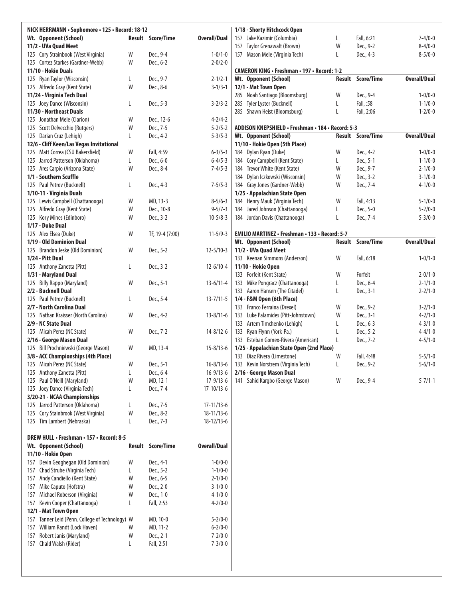| NICK HERRMANN · Sophomore · 125 · Record: 18-12    |        |                   |                     |     | 1/18 - Shorty Hitchcock Open                                        |        |                          |                                |
|----------------------------------------------------|--------|-------------------|---------------------|-----|---------------------------------------------------------------------|--------|--------------------------|--------------------------------|
| Wt. Opponent (School)                              |        | Result Score/Time | Overall/Dual        |     | 157 Jake Kazimir (Columbia)                                         | L      | Fall, 6:21               | $7 - 4/0 - 0$                  |
| 11/2 - UVa Quad Meet                               |        |                   |                     | 157 | Taylor Grenawalt (Brown)                                            | W      | Dec., 9-2                | $8-4/0-0$                      |
| 125 Cory Strainbook (West Virginia)                | W      | Dec., 9-4         | $1 - 0/1 - 0$       |     | 157 Mason Mele (Virginia Tech)                                      | L      | Dec., 4-3                | $8 - 5/0 - 0$                  |
| 125 Cortez Starkes (Gardner-Webb)                  | W      | Dec., 6-2         | $2 - 0/2 - 0$       |     |                                                                     |        |                          |                                |
| 11/10 - Hokie Duals                                |        |                   |                     |     | <b>CAMERON KING · Freshman · 197 · Record: 1-2</b>                  |        |                          |                                |
| 125 Ryan Taylor (Wisconsin)                        | L      | Dec., 9-7         | $2 - 1/2 - 1$       |     | Wt. Opponent (School)                                               |        | Result Score/Time        | <b>Overall/Dual</b>            |
| 125 Alfredo Gray (Kent State)                      | W      | Dec., 8-6         | $3 - 1/3 - 1$       |     | 12/1 - Mat Town Open                                                |        |                          |                                |
| 11/24 - Virginia Tech Dual                         |        |                   |                     |     | 285 Noah Santiago (Bloomsburg)                                      | W      | Dec., 9-4                | $1 - 0/0 - 0$                  |
| 125 Joey Dance (Wisconsin)                         | L      | Dec., 5-3         | $3 - 2/3 - 2$       | 285 | Tyler Lyster (Bucknell)                                             | L      | Fall, :58                | $1 - 1/0 - 0$                  |
| 11/30 - Northeast Duals                            |        |                   |                     |     | 285 Shawn Heist (Bloomsburg)                                        | L      | Fall, 2:06               | $1 - 2/0 - 0$                  |
| 125 Jonathan Mele (Clarion)                        | W      | Dec., 12-6        | $4 - 2/4 - 2$       |     |                                                                     |        |                          |                                |
| 125 Scott Delvecchio (Rutgers)                     | W      | Dec., 7-5         | $5 - 2/5 - 2$       |     | ADDISON KNEPSHIELD . Freshman . 184 . Record: 5-3                   |        |                          |                                |
| 125 Darian Cruz (Lehigh)                           | L      | Dec., 4-2         | $5 - 3/5 - 3$       |     | Wt. Opponent (School)                                               |        | <b>Result Score/Time</b> | <b>Overall/Dual</b>            |
| 12/6 - Cliff Keen/Las Vegas Invitational           |        |                   |                     |     | 11/10 - Hokie Open (5th Place)                                      |        |                          |                                |
| 125 Matt Correa (CSU Bakersfield)                  | W      | Fall, 4:59        | $6 - 3/5 - 3$       |     | 184 Dylan Ryan (Duke)                                               | W      | Dec., 4-2                | $1 - 0/0 - 0$                  |
| 125 Jarrod Patterson (Oklahoma)                    | L      | Dec., 6-0         | $6 - 4/5 - 3$       |     | 184 Cory Campbell (Kent State)                                      | L      | Dec., 5-1                | $1 - 1/0 - 0$                  |
| 125 Ares Carpio (Arizona State)                    | W      | Dec., 8-4         | $7 - 4/5 - 3$       |     | 184 Trevor White (Kent State)                                       | W      | Dec., 9-7                | $2 - 1/0 - 0$                  |
| 1/1 - Southern Scuffle                             |        |                   |                     |     | 184 Dylan Iczkowski (Wisconsin)                                     | W      | Dec., 3-2                | $3 - 1/0 - 0$                  |
| 125 Paul Petrov (Bucknell)                         | L      | Dec., 4-3         | $7 - 5/5 - 3$       |     | 184 Gray Jones (Gardner-Webb)                                       | W      | Dec., 7-4                | $4 - 1/0 - 0$                  |
| 1/10-11 - Virginia Duals                           |        |                   |                     |     | 1/25 - Appalachian State Open                                       |        |                          |                                |
| 125 Lewis Campbell (Chattanooga)                   | W      | MD, 13-3          | $8 - 5/6 - 3$       |     | 184 Henry Mauk (Virginia Tech)                                      | W      | Fall, 4:13               | $5 - 1/0 - 0$                  |
| 125 Alfredo Gray (Kent State)                      | W      | Dec., 10-8        | $9 - 5/7 - 3$       |     | 184 Jared Johnson (Chattanooga)                                     | L      | Dec., 5-0                | $5 - 2/0 - 0$                  |
| Kory Mines (Edinboro)<br>125                       | W      | Dec., 3-2         | $10 - 5/8 - 3$      |     | 184 Jordan Davis (Chattanooga)                                      | L      | Dec., 7-4                | $5 - 3/0 - 0$                  |
| 1/17 - Duke Dual                                   |        |                   |                     |     |                                                                     |        |                          |                                |
| 125 Alex Elsea (Duke)                              | W      | TF, 19-4 (7:00)   | $11-5/9-3$          |     | EMILIO MARTINEZ · Freshman · 133 · Record: 5-7                      |        |                          |                                |
| 1/19 - Old Dominion Dual                           |        |                   |                     |     | Wt. Opponent (School)                                               | Result | <b>Score/Time</b>        | <b>Overall/Dual</b>            |
| 125 Brandon Jeske (Old Dominion)                   | W      | Dec., 5-2         | $12 - 5/10 - 3$     |     | 11/2 - UVa Quad Meet                                                |        |                          |                                |
| 1/24 - Pitt Dual                                   |        |                   |                     |     | 133 Keenan Simmons (Anderson)                                       | W      | Fall, 6:18               | $1 - 0/1 - 0$                  |
| 125 Anthony Zanetta (Pitt)                         | L      | Dec., 3-2         | $12 - 6/10 - 4$     |     | 11/10 - Hokie Open                                                  |        |                          |                                |
| 1/31 - Maryland Dual                               |        |                   |                     |     | 133 Forfeit (Kent State)                                            | W      | Forfeit                  | $2 - 0/1 - 0$                  |
| <b>Billy Rappo (Maryland)</b><br>125               | W      | Dec., 5-1         | $13-6/11-4$         |     | 133 Mike Pongracz (Chattanooga)                                     | L      | Dec., 6-4                | $2 - 1/1 - 0$                  |
| 2/2 - Bucknell Dual<br>125 Paul Petrov (Bucknell)  |        |                   | $13 - 7/11 - 5$     |     | 133 Aaron Hansen (The Citadel)<br>1/4 - F&M Open (6th Place)        | L      | Dec., 3-1                | $2 - 2/1 - 0$                  |
| 2/7 - North Carolina Dual                          | L      | Dec., 5-4         |                     |     |                                                                     |        |                          |                                |
| 125 Nathan Kraisser (North Carolina)               | W      |                   | $13 - 8/11 - 6$     |     | 133 Franco Ferraina (Drexel)<br>133 Luke Palamides (Pitt-Johnstown) | W<br>W | Dec., 9-2<br>Dec., 3-1   | $3 - 2/1 - 0$<br>$4 - 2/1 - 0$ |
| 2/9 - NC State Dual                                |        | Dec., 4-2         |                     |     | 133 Artem Timchenko (Lehigh)                                        |        | Dec., 6-3                | $4 - 3/1 - 0$                  |
| 125 Micah Perez (NC State)                         | W      | Dec., 7-2         | $14 - 8/12 - 6$     | 133 | Ryan Flynn (York-Pa.)                                               | L<br>L | Dec., 5-2                | $4 - 4/1 - 0$                  |
| 2/16 - George Mason Dual                           |        |                   |                     |     | 133 Esteban Gomex-Rivera (American)                                 | L      | Dec., 7-2                | $4 - 5/1 - 0$                  |
| 125 Bill Prochniewski (George Mason)               | W      | MD, 13-4          | $15 - 8/13 - 6$     |     | 1/25 - Appalachian State Open (2nd Place)                           |        |                          |                                |
| 3/8 - ACC Championships (4th Place)                |        |                   |                     |     | 133 Diaz Rivera (Limestone)                                         | W      | Fall, 4:48               | $5 - 5/1 - 0$                  |
| 125 Micah Perez (NC State)                         | W      | Dec., 5-1         | $16 - 8/13 - 6$     |     | 133 Kevin Norstrem (Virginia Tech)                                  | L      | Dec., 9-2                | $5 - 6/1 - 0$                  |
| 125 Anthony Zanetta (Pitt)                         | L      | Dec., 6-4         | $16-9/13-6$         |     | 2/16 - George Mason Dual                                            |        |                          |                                |
| 125 Paul O'Neill (Maryland)                        | W      | MD, 12-1          | $17-9/13-6$         |     | 141 Sahid Kargbo (George Mason)                                     | W      | Dec., 9-4                | $5 - 7/1 - 1$                  |
| 125 Joey Dance (Virginia Tech)                     | L      | Dec., 7-4         | 17-10/13-6          |     |                                                                     |        |                          |                                |
| 3/20-21 - NCAA Championships                       |        |                   |                     |     |                                                                     |        |                          |                                |
| 125 Jarrod Patterson (Oklahoma)                    | L      | Dec., 7-5         | $17 - 11/13 - 6$    |     |                                                                     |        |                          |                                |
| Cory Stainbrook (West Virginia)<br>125             | W      | Dec., 8-2         | 18-11/13-6          |     |                                                                     |        |                          |                                |
| 125 Tim Lambert (Nebraska)                         | L      | Dec., 7-3         | $18-12/13-6$        |     |                                                                     |        |                          |                                |
|                                                    |        |                   |                     |     |                                                                     |        |                          |                                |
| <b>DREW HULL • Freshman • 157 • Record: 8-5</b>    |        |                   |                     |     |                                                                     |        |                          |                                |
| Wt. Opponent (School)                              | Result | <b>Score/Time</b> | <b>Overall/Dual</b> |     |                                                                     |        |                          |                                |
| 11/10 - Hokie Open                                 |        |                   |                     |     |                                                                     |        |                          |                                |
| Devin Geoghegan (Old Dominion)<br>157              | W      | Dec., 4-1         | $1 - 0/0 - 0$       |     |                                                                     |        |                          |                                |
| Chad Strube (Virginia Tech)<br>157                 | L      | Dec., 5-2         | $1 - 1/0 - 0$       |     |                                                                     |        |                          |                                |
| Andy Candiello (Kent State)<br>157                 | W      | Dec., 6-5         | $2 - 1/0 - 0$       |     |                                                                     |        |                          |                                |
| Mike Caputo (Hofstra)<br>157                       | W      | Dec., 2-0         | $3-1/0-0$           |     |                                                                     |        |                          |                                |
| Michael Roberson (Virginia)<br>157                 | W      | Dec., 1-0         | $4 - 1/0 - 0$       |     |                                                                     |        |                          |                                |
| Kevin Cooper (Chattanooga)<br>157                  | L      | Fall, 2:53        | $4 - 2/0 - 0$       |     |                                                                     |        |                          |                                |
| 12/1 - Mat Town Open                               |        |                   |                     |     |                                                                     |        |                          |                                |
| Tanner Leid (Penn. College of Technology) W<br>157 |        | MD, 10-0          | $5 - 2/0 - 0$       |     |                                                                     |        |                          |                                |
| William Randt (Lock Haven)<br>157                  | W      | MD, 11-2          | $6 - 2/0 - 0$       |     |                                                                     |        |                          |                                |
| Robert Janis (Maryland)<br>157                     | W      | Dec., 2-1         | $7 - 2/0 - 0$       |     |                                                                     |        |                          |                                |
| 157 Chald Walsh (Rider)                            | L      | Fall, 2:51        | $7 - 3/0 - 0$       |     |                                                                     |        |                          |                                |
|                                                    |        |                   |                     |     |                                                                     |        |                          |                                |
|                                                    |        |                   |                     |     |                                                                     |        |                          |                                |
|                                                    |        |                   |                     |     |                                                                     |        |                          |                                |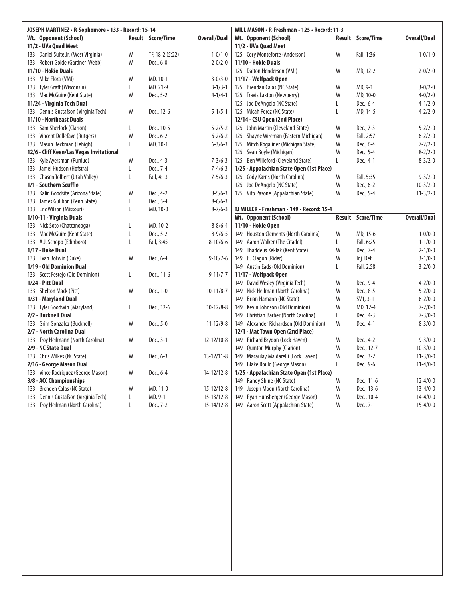| JOSEPH MARTINEZ · R-Sophomore · 133 · Record: 15-14 |   |                          |                     |     | WILL MASON • R-Freshman • 125 • Record: 11-3 |        |            |                     |
|-----------------------------------------------------|---|--------------------------|---------------------|-----|----------------------------------------------|--------|------------|---------------------|
| <b>Wt. Opponent (School)</b>                        |   | <b>Result Score/Time</b> | <b>Overall/Dual</b> |     | Wt. Opponent (School)                        | Result | Score/Time | <b>Overall/Dual</b> |
| 11/2 - UVa Quad Meet                                |   |                          |                     |     | 11/2 - UVa Quad Meet                         |        |            |                     |
| 133 Daniel Suite Jr. (West Virginia)                | W | TF, 18-2 (5:22)          | $1 - 0/1 - 0$       |     | 125 Cory Monteforte (Anderson)               | W      | Fall, 1:36 | $1 - 0/1 - 0$       |
| 133 Robert Golde (Gardner-Webb)                     | W | Dec., 6-0                | $2 - 0/2 - 0$       |     | 11/10 - Hokie Duals                          |        |            |                     |
| 11/10 - Hokie Duals                                 |   |                          |                     |     | 125 Dalton Henderson (VMI)                   | W      | MD, 12-2   | $2 - 0/2 - 0$       |
| 133 Mike Flora (VMI)                                | W | MD, 10-1                 | $3 - 0/3 - 0$       |     | 11/17 - Wolfpack Open                        |        |            |                     |
| 133 Tyler Graff (Wisconsin)                         | L | MD, 21-9                 | $3 - 1/3 - 1$       |     | 125 Brendan Calas (NC State)                 | W      | MD, 9-1    | $3 - 0/2 - 0$       |
| 133 Mac McGuire (Kent State)                        | W | Dec., 5-2                | $4 - 1/4 - 1$       |     | 125 Travis Laxton (Newberry)                 | W      | MD, 10-0   | $4 - 0/2 - 0$       |
| 11/24 - Virginia Tech Dual                          |   |                          |                     |     | 125 Joe DeAngelo (NC State)                  | Г      | Dec., 6-4  | $4 - 1/2 - 0$       |
| 133 Dennis Gustafson (Virginia Tech)                | W | Dec., 12-6               | $5 - 1/5 - 1$       |     | 125 Micah Perez (NC State)                   | L      | MD, 14-5   | $4 - 2/2 - 0$       |
| 11/10 - Northeast Duals                             |   |                          |                     |     | 12/14 - CSU Open (2nd Place)                 |        |            |                     |
| 133 Sam Sherlock (Clarion)                          | L | Dec., 10-5               | $5 - 2/5 - 2$       |     | 125 John Martin (Cleveland State)            | W      | Dec., 7-3  | $5 - 2/2 - 0$       |
| 133 Vincent Dellefave (Rutgers)                     | W | Dec., 6-2                | $6 - 2/6 - 2$       |     | 125 Shayne Wireman (Eastern Michigan)        | W      | Fall, 2:57 | $6 - 2/2 - 0$       |
| 133 Mason Beckman (Lehigh)                          | L | MD, 10-1                 | $6 - 3/6 - 3$       |     | 125 Mitch Rogaliner (Michigan State)         | W      | Dec., 6-4  | $7 - 2/2 - 0$       |
| 12/6 - Cliff Keen/Las Vegas Invitational            |   |                          |                     |     | 125 Sean Boyle (Michigan)                    | W      | Dec., 5-4  | $8 - 2/2 - 0$       |
| 133 Kyle Ayersman (Purdue)                          | W | Dec., 4-3                | $7 - 3/6 - 3$       |     | 125 Ben Willeford (Cleveland State)          | L      | Dec., 4-1  | $8 - 3/2 - 0$       |
| 133 Jamel Hudson (Hofstra)                          | L | Dec., 7-4                | $7-4/6-3$           |     | 1/25 - Appalachian State Open (1st Place)    |        |            |                     |
| 133 Chasen Tolbert (Utah Valley)                    | L | Fall, 4:13               | $7 - 5/6 - 3$       |     | 125 Cody Karns (North Carolina)              | W      | Fall, 5:35 | $9 - 3/2 - 0$       |
| 1/1 - Southern Scuffle                              |   |                          |                     |     | 125 Joe DeAngelo (NC State)                  | W      | Dec., 6-2  | $10 - 3/2 - 0$      |
| 133 Kalin Goodsite (Arizona State)                  | W | Dec., 4-2                | $8 - 5/6 - 3$       |     | 125 Vito Pasone (Appalachian State)          | W      | Dec., 5-4  | $11 - 3/2 - 0$      |
| 133 James Gulibon (Penn State)                      | L | Dec., 5-4                | $8-6/6-3$           |     |                                              |        |            |                     |
| 133 Eric Wilson (Missouri)                          | L | MD, 10-0                 | $8 - 7/6 - 3$       |     | TJ MILLER · Freshman · 149 · Record: 15-4    |        |            |                     |
| 1/10-11 - Virginia Duals                            |   |                          |                     |     | Wt. Opponent (School)                        | Result | Score/Time | <b>Overall/Dual</b> |
| 133 Nick Soto (Chattanooga)                         | L | MD, 10-2                 | $8 - 8/6 - 4$       |     | 11/10 - Hokie Open                           |        |            |                     |
| 133 Mac McGuire (Kent State)                        | L | Dec., 5-2                | $8 - 9/6 - 5$       |     | 149 Houston Clements (North Carolina)        | W      | MD, 15-6   | $1 - 0/0 - 0$       |
| 133 A.J. Schopp (Edinboro)                          | L | Fall, 3:45               | $8 - 10/6 - 6$      |     | 149 Aaron Walker (The Citadel)               | L      | Fall, 6:25 | $1 - 1/0 - 0$       |
| 1/17 - Duke Dual                                    |   |                          |                     |     | 149 Thaddeus Keklak (Kent State)             | W      | Dec., 7-4  | $2 - 1/0 - 0$       |
| 133 Evan Botwin (Duke)                              | W | Dec., 6-4                | $9 - 10/7 - 6$      |     | 149 BJ Clagon (Rider)                        | W      | Inj. Def.  | $3 - 1/0 - 0$       |
| 1/19 - Old Dominion Dual                            |   |                          |                     |     | 149 Austin Eads (Old Dominion)               | L      | Fall, 2:58 | $3 - 2/0 - 0$       |
| 133 Scott Festejo (Old Dominion)                    | L | Dec., 11-6               | $9 - 11/7 - 7$      |     | 11/17 - Wolfpack Open                        |        |            |                     |
| 1/24 - Pitt Dual                                    |   |                          |                     |     | 149 David Wesley (Virginia Tech)             | W      | Dec., 9-4  | $4 - 2/0 - 0$       |
| 133 Shelton Mack (Pitt)                             | W | Dec., 1-0                | $10-11/8-7$         | 149 | Nick Heilman (North Carolina)                | W      | Dec., 8-5  | $5 - 2/0 - 0$       |
| 1/31 - Maryland Dual                                |   |                          |                     | 149 | Brian Hamann (NC State)                      | W      | $SV1, 3-1$ | $6 - 2/0 - 0$       |
| 133 Tyler Goodwin (Maryland)                        | L | Dec., 12-6               | $10-12/8-8$         |     | 149 Kevin Johnson (Old Dominion)             | W      | MD, 12-4   | $7 - 2/0 - 0$       |
| 2/2 - Bucknell Dual                                 |   |                          |                     |     | 149 Christian Barber (North Carolina)        | L      | Dec., 4-3  | $7 - 3/0 - 0$       |
| 133 Grim Gonzalez (Bucknell)                        | W | Dec., 5-0                | $11 - 12/9 - 8$     |     | 149 Alexander Richardson (Old Dominion)      | W      | Dec., 4-1  | $8 - 3/0 - 0$       |
| 2/7 - North Carolina Dual                           |   |                          |                     |     | 12/1 - Mat Town Open (2nd Place)             |        |            |                     |
| 133 Troy Heilmann (North Carolina)                  | W | Dec., 3-1                | $12 - 12/10 - 8$    |     | 149 Richard Brydon (Lock Haven)              | W      | Dec., 4-2  | $9 - 3/0 - 0$       |
| 2/9 - NC State Dual                                 |   |                          |                     | 149 | Quinton Murphy (Clarion)                     | W      | Dec., 12-7 | $10 - 3/0 - 0$      |
| 133 Chris Wilkes (NC State)                         | W | Dec., 6-3                | $13 - 12/11 - 8$    |     | 149 Macaulay Maldarelli (Lock Haven)         | W      | Dec., 3-2  | $11 - 3/0 - 0$      |
| 2/16 - George Mason Dual                            |   |                          |                     |     | 149 Blake Roulo (George Mason)               | L      | Dec., 9-6  | $11-4/0-0$          |
| 133 Vince Rodriguez (George Mason)                  | W | Dec., 6-4                | 14-12/12-8          |     | 1/25 - Appalachian State Open (1st Place)    |        |            |                     |
| 3/8 - ACC Championships                             |   |                          |                     |     | 149 Randy Shine (NC State)                   | W      | Dec., 11-6 | $12 - 4/0 - 0$      |
| 133 Brenden Calas (NC State)                        | W | MD, 11-0                 | $15 - 12/12 - 8$    | 149 | Joseph Moon (North Carolina)                 | W      | Dec., 13-6 | $13 - 4/0 - 0$      |
| 133 Dennis Gustafson (Virginia Tech)                | L | MD, 9-1                  | $15 - 13/12 - 8$    |     | 149 Ryan Hunsberger (George Mason)           | W      | Dec., 10-4 | $14 - 4/0 - 0$      |
| 133 Troy Heilman (North Carolina)                   | Г | Dec., 7-2                | $15 - 14/12 - 8$    |     | 149 Aaron Scott (Appalachian State)          | W      | Dec., 7-1  | $15 - 4/0 - 0$      |
|                                                     |   |                          |                     |     |                                              |        |            |                     |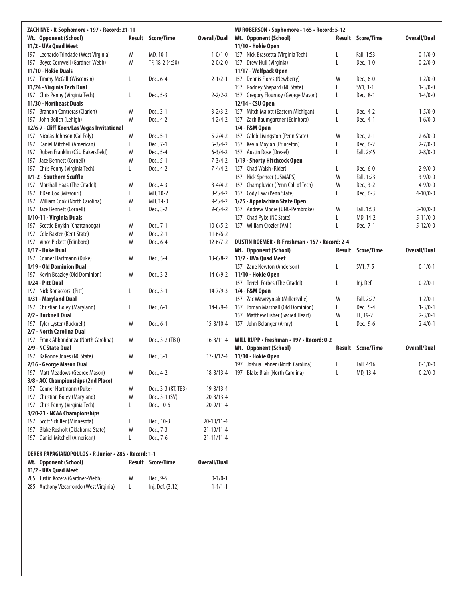| ZACH NYE · R-Sophomore · 197 · Record: 21-11                             |        |                                       |                     | MJ ROBERSON · Sophomore · 165 · Record: 5-12        |        |                          |                     |
|--------------------------------------------------------------------------|--------|---------------------------------------|---------------------|-----------------------------------------------------|--------|--------------------------|---------------------|
| Wt. Opponent (School)                                                    | Result | Score/Time                            | <b>Overall/Dual</b> | Wt. Opponent (School)                               | Result | <b>Score/Time</b>        | <b>Overall/Dual</b> |
| 11/2 - UVa Quad Meet                                                     |        |                                       |                     | 11/10 - Hokie Open                                  |        |                          |                     |
| 197 Leonardo Trindade (West Virginia)                                    | W      | MD, 10-1                              | $1 - 0/1 - 0$       | 157 Nick Brascetta (Virginia Tech)                  | L      | Fall, 1:53               | $0 - 1/0 - 0$       |
| Boyce Cornwell (Gardner-Webb)<br>197                                     | W      | TF, 18-2 (4:50)                       | $2 - 0/2 - 0$       | 157 Drew Hull (Virginia)                            | L      | Dec., 1-0                | $0 - 2/0 - 0$       |
| 11/10 - Hokie Duals                                                      |        |                                       |                     | 11/17 - Wolfpack Open                               |        |                          |                     |
| 197 Timmy McCall (Wisconsin)                                             | L      | Dec., 6-4                             | $2 - 1/2 - 1$       | 157 Dennis Flores (Newberry)                        | W      | Dec., 6-0                | $1 - 2/0 - 0$       |
| 11/24 - Virginia Tech Dual                                               |        |                                       |                     | 157 Rodney Shepard (NC State)                       | L      | $SV1, 3-1$               | $1 - 3/0 - 0$       |
| 197 Chris Penny (Virginia Tech)                                          | L      | Dec., 5-3                             | $2 - 2/2 - 2$       | 157 Gregory Flournoy (George Mason)                 | L      | Dec., 8-1                | $1 - 4/0 - 0$       |
| 11/30 - Northeast Duals                                                  |        |                                       |                     | 12/14 - CSU Open                                    |        |                          |                     |
| <b>Brandon Contreras (Clarion)</b><br>197                                | W      | Dec., 3-1                             | $3 - 2/3 - 2$       | 157 Mitch Malott (Eastern Michigan)                 | L      | Dec., 4-2                | $1 - 5/0 - 0$       |
| 197 John Bolich (Lehigh)                                                 | W      | Dec., 4-2                             | $4 - 2/4 - 2$       | 157 Zach Baumgartner (Edinboro)                     | L      | Dec., 4-1                | $1 - 6/0 - 0$       |
| 12/6-7 - Cliff Keen/Las Vegas Invitational<br>Nicolas Johnson (Cal Poly) | W      | Dec., 5-1                             | $5 - 2/4 - 2$       | 1/4 - F&M Open<br>157 Caleb Livingston (Penn State) | W      | Dec., 2-1                | $2 - 6/0 - 0$       |
| 197<br>Daniel Mitchell (American)<br>197                                 | L      | Dec., 7-1                             | $5 - 3/4 - 2$       | 157 Kevin Moylan (Princeton)                        | L      | Dec., 6-2                | $2 - 7/0 - 0$       |
| 197 Ruben Franklin (CSU Bakersfield)                                     | W      | Dec., 5-4                             | $6 - 3/4 - 2$       | 157 Austin Rose (Drexel)                            | L      | Fall, 2:45               | $2 - 8/0 - 0$       |
| 197 Jace Bennett (Cornell)                                               | W      | Dec., 5-1                             | $7 - 3/4 - 2$       | 1/19 - Shorty Hitchcock Open                        |        |                          |                     |
| 197 Chris Penny (Virginia Tech)                                          | L      | Dec., 4-2                             | $7 - 4/4 - 2$       | 157 Chad Walsh (Rider)                              | L      | Dec., 6-0                | $2 - 9/0 - 0$       |
| 1/1-2 - Southern Scuffle                                                 |        |                                       |                     | 157 Nick Spencer (USMAPS)                           | W      | Fall, 1:23               | $3 - 9/0 - 0$       |
| 197 Marshall Haas (The Citadel)                                          | W      | Dec., 4-3                             | $8-4/4-2$           | 157 Champluvier (Penn Coll of Tech)                 | W      | Dec., 3-2                | $4 - 9/0 - 0$       |
| 197 J'Den Cox (Missouri)                                                 | L      | MD, 10-2                              | $8 - 5/4 - 2$       | 157 Cody Law (Penn State)                           | L      | Dec., 6-3                | $4 - 10/0 - 0$      |
| 197 William Cook (North Carolina)                                        | W      | MD, 14-0                              | $9 - 5/4 - 2$       | 1/25 - Appalachian State Open                       |        |                          |                     |
| 197 Jace Bennett (Cornell)                                               | L      | Dec., 3-2                             | $9 - 6/4 - 2$       | 157 Andrew Moore (UNC-Pembroke)                     | W      | Fall, 1:53               | $5 - 10/0 - 0$      |
| 1/10-11 - Virginia Duals                                                 |        |                                       |                     | 157 Chad Pyke (NC State)                            | L      | MD, 14-2                 | $5 - 11/0 - 0$      |
| 197 Scottie Boykin (Chattanooga)                                         | W      | Dec., 7-1                             | $10 - 6/5 - 2$      | 157 William Crozier (VMI)                           | L      | Dec., 7-1                | $5 - 12/0 - 0$      |
| 197 Cole Baxter (Kent State)                                             | W      | Dec., 2-1                             | $11-6/6-2$          |                                                     |        |                          |                     |
| 197 Vince Pickett (Edinboro)                                             | W      | Dec., 6-4                             | $12 - 6/7 - 2$      | DUSTIN ROEMER • R-Freshman • 157 • Record: 2-4      |        |                          |                     |
| 1/17 - Duke Dual                                                         |        |                                       |                     | Wt. Opponent (School)                               |        | <b>Result Score/Time</b> | <b>Overall/Dual</b> |
| 197 Conner Hartmann (Duke)                                               | W      | Dec., 5-4                             | $13-6/8-2$          | 11/2 - UVa Quad Meet                                |        |                          |                     |
| 1/19 - Old Dominion Dual                                                 |        |                                       |                     | 157 Zane Newton (Anderson)                          | L      | SV1, 7-5                 | $0 - 1/0 - 1$       |
| 197 Kevin Beazley (Old Dominion)                                         | W      | Dec., 3-2                             | $14-6/9-2$          | 11/10 - Hokie Open                                  |        |                          |                     |
| 1/24 - Pitt Dual                                                         |        |                                       |                     | 157 Terrell Forbes (The Citadel)                    | L      | Inj. Def.                | $0 - 2/0 - 1$       |
| 197 Nick Bonaccorsi (Pitt)                                               | L      | Dec., 3-1                             | $14 - 7/9 - 3$      | 1/4 - F&M Open                                      |        |                          |                     |
| 1/31 - Maryland Dual                                                     |        |                                       |                     | 157 Zac Wawrzyniak (Millersville)                   | W      | Fall, 2:27               | $1 - 2/0 - 1$       |
| 197 Christian Boley (Maryland)                                           | L.     | Dec., 6-1                             | $14 - 8/9 - 4$      | Jordan Marshall (Old Dominion)<br>157               | L      | Dec., 5-4                | $1 - 3/0 - 1$       |
| 2/2 - Bucknell Dual                                                      |        |                                       |                     | 157 Matthew Fisher (Sacred Heart)                   | W      | TF, 19-2                 | $2 - 3/0 - 1$       |
| 197 Tyler Lyster (Bucknell)                                              | W      | Dec., 6-1                             | $15 - 8/10 - 4$     | 157 John Belanger (Army)                            | L      | Dec., 9-6                | $2 - 4/0 - 1$       |
| 2/7 - North Carolina Dual                                                |        |                                       |                     |                                                     |        |                          |                     |
| Frank Abbondanza (North Carolina)<br>197                                 | W      | Dec., 3-2 (TB1)                       | $16 - 8/11 - 4$     | WILL RUPP · Freshman · 197 · Record: 0-2            |        |                          |                     |
| 2/9 - NC State Dual                                                      |        |                                       |                     | Wt. Opponent (School)                               |        | Result Score/Time        | <b>Overall/Dual</b> |
| 197 KaRonne Jones (NC State)                                             | W      | Dec., 3-1                             | $17 - 8/12 - 4$     | 11/10 - Hokie Open                                  |        |                          |                     |
| 2/16 - George Mason Dual                                                 |        |                                       |                     | 197 Joshua Lehner (North Carolina)                  | L      | Fall, 4:16               | $0 - 1/0 - 0$       |
| 197 Matt Meadows (George Mason)                                          | W      | Dec., 4-2                             | $18 - 8/13 - 4$     | 197 Blake Blair (North Carolina)                    | L      | MD, 13-4                 | $0 - 2/0 - 0$       |
| 3/8 - ACC Championships (2nd Place)                                      |        |                                       |                     |                                                     |        |                          |                     |
| 197 Conner Hartmann (Duke)<br>197 Christian Boley (Maryland)             | W      | Dec., 3-3 (RT, TB3)<br>Dec., 3-1 (SV) | $19 - 8/13 - 4$     |                                                     |        |                          |                     |
|                                                                          | W      |                                       | $20 - 8/13 - 4$     |                                                     |        |                          |                     |
| 197 Chris Penny (Virginia Tech)<br>3/20-21 - NCAA Championships          | L      | Dec., 10-6                            | $20 - 9/11 - 4$     |                                                     |        |                          |                     |
| Scott Schiller (Minnesota)<br>197                                        | L      | Dec., 10-3                            | 20-10/11-4          |                                                     |        |                          |                     |
| Blake Rosholt (Oklahoma State)<br>197                                    | W      | Dec., 7-3                             | $21-10/11-4$        |                                                     |        |                          |                     |
| 197 Daniel Mitchell (American)                                           | L      | Dec., 7-6                             | 21-11/11-4          |                                                     |        |                          |                     |
|                                                                          |        |                                       |                     |                                                     |        |                          |                     |
| DEREK PAPAGIANOPOULOS • R-Junior • 285 • Record: 1-1                     |        |                                       |                     |                                                     |        |                          |                     |
| <b>Opponent (School)</b><br>Wt.                                          |        | <b>Result Score/Time</b>              | <b>Overall/Dual</b> |                                                     |        |                          |                     |
| 11/2 - UVa Quad Meet                                                     |        |                                       |                     |                                                     |        |                          |                     |
| 285 Justin Kozera (Gardner-Webb)                                         | W      | Dec., 9-5                             | $0 - 1/0 - 1$       |                                                     |        |                          |                     |
| 285 Anthony Vizcarrondo (West Virginia)                                  | L.     | Inj. Def. (3:12)                      | $1 - 1/1 - 1$       |                                                     |        |                          |                     |
|                                                                          |        |                                       |                     |                                                     |        |                          |                     |
|                                                                          |        |                                       |                     |                                                     |        |                          |                     |
|                                                                          |        |                                       |                     |                                                     |        |                          |                     |
|                                                                          |        |                                       |                     |                                                     |        |                          |                     |
|                                                                          |        |                                       |                     |                                                     |        |                          |                     |
|                                                                          |        |                                       |                     |                                                     |        |                          |                     |
|                                                                          |        |                                       |                     |                                                     |        |                          |                     |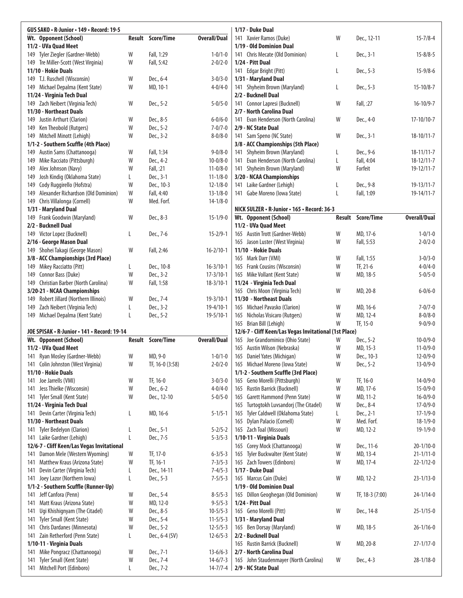| GUS SAKO · R-Junior · 149 · Record: 19-5                              |        |                       |                                | 1/17 - Duke Dual                                                                  |        |                          |                                  |
|-----------------------------------------------------------------------|--------|-----------------------|--------------------------------|-----------------------------------------------------------------------------------|--------|--------------------------|----------------------------------|
| Wt. Opponent (School)                                                 | Result | <b>Score/Time</b>     | <b>Overall/Dual</b>            | 141 Xavier Ramos (Duke)                                                           | W      | Dec., 12-11              | $15 - 7/8 - 4$                   |
| 11/2 - UVa Quad Meet                                                  |        |                       |                                | 1/19 - Old Dominion Dual                                                          |        |                          |                                  |
| Tyler Ziegler (Gardner-Webb)<br>149                                   | W      | Fall, 1:29            | $1 - 0/1 - 0$                  | 141 Chris Mecate (Old Dominion)                                                   | L      | Dec., 3-1                | $15 - 8/8 - 5$                   |
| 149 Tre Miller-Scott (West Virginia)<br>11/10 - Hokie Duals           | W      | Fall, 5:42            | $2 - 0/2 - 0$                  | 1/24 - Pitt Dual<br>141 Edgar Bright (Pitt)                                       | L      | Dec., 5-3                | $15 - 9/8 - 6$                   |
| 149 T.J. Ruschell (Wisconsin)                                         | W      | Dec., 6-4             | $3 - 0/3 - 0$                  | 1/31 - Maryland Dual                                                              |        |                          |                                  |
| 149 Michael Depalma (Kent State)                                      | W      | MD, 10-1              | $4 - 0/4 - 0$                  | 141 Shyheim Brown (Maryland)                                                      | L      | Dec., 5-3                | $15 - 10/8 - 7$                  |
| 11/24 - Virginia Tech Dual                                            |        |                       |                                | 2/2 - Bucknell Dual                                                               |        |                          |                                  |
| 149 Zach Neibert (Virginia Tech)                                      | W      | Dec., 5-2             | $5 - 0/5 - 0$                  | 141 Connor Lapresi (Bucknell)                                                     | W      | Fall, :27                | $16 - 10/9 - 7$                  |
| 11/30 - Northeast Duals                                               |        |                       |                                | 2/7 - North Carolina Dual                                                         |        |                          |                                  |
| 149 Justin Arthurt (Clarion)                                          | W      | Dec., 8-5             | $6 - 0/6 - 0$                  | Evan Henderson (North Carolina)<br>141                                            | W      | Dec., 4-0                | $17-10/10-7$                     |
| Ken Theobold (Rutgers)<br>149                                         | W      | Dec., 5-2             | $7 - 0/7 - 0$                  | 2/9 - NC State Dual                                                               |        |                          |                                  |
| 149 Mitchell Minott (Lehigh)                                          | W      | Dec., 3-2             | $8 - 0/8 - 0$                  | 141 Sam Speno (NC State)                                                          | W      | Dec., 3-1                | $18-10/11-7$                     |
| 1/1-2 - Southern Scuffle (4th Place)<br>149 Austin Sams (Chattanooga) | W      | Fall, 1:34            | $9 - 0/8 - 0$                  | 3/8 - ACC Championships (5th Place)<br>Shyheim Brown (Maryland)<br>141            | L      | Dec., 9-6                | $18 - 11/11 - 7$                 |
| Mike Racciato (Pittsburgh)<br>149                                     | W      | Dec., 4-2             | $10 - 0/8 - 0$                 | 141 Evan Henderson (North Carolina)                                               | L      | Fall, 4:04               | $18 - 12/11 - 7$                 |
| Alex Johnson (Navy)<br>149                                            | W      | Fall, :21             | $11 - 0/8 - 0$                 | 141 Shyheim Brown (Maryland)                                                      | W      | Forfeit                  | 19-12/11-7                       |
| Josh Kindig (Oklahoma State)<br>149                                   | L      | Dec., 3-1             | $11 - 1/8 - 0$                 | 3/20 - NCAA Championships                                                         |        |                          |                                  |
| Cody Ruggirello (Hofstra)<br>149                                      | W      | Dec., 10-3            | $12 - 1/8 - 0$                 | 141 Laike Gardner (Lehigh)                                                        | L      | Dec., 9-8                | $19 - 13/11 - 7$                 |
| Alexander Richardson (Old Dominion)<br>149                            | W      | Fall, 4:40            | $13 - 1/8 - 0$                 | 141 Gabe Moreno (Iowa State)                                                      | L      | Fall, 1:09               | 19-14/11-7                       |
| Chris Villalonga (Cornell)<br>149                                     | W      | Med. Forf.            | $14 - 1/8 - 0$                 |                                                                                   |        |                          |                                  |
| 1/31 - Maryland Dual                                                  |        |                       |                                | NICK SULZER • R-Junior • 165 • Record: 36-3                                       |        |                          |                                  |
| 149 Frank Goodwin (Maryland)                                          | W      | Dec., 8-3             | $15 - 1/9 - 0$                 | Wt. Opponent (School)                                                             |        | <b>Result Score/Time</b> | <b>Overall/Dual</b>              |
| 2/2 - Bucknell Dual                                                   |        |                       |                                | 11/2 - UVa Quad Meet                                                              |        |                          |                                  |
| Victor Lopez (Bucknell)<br>149<br>2/16 - George Mason Dual            | L.     | Dec., 7-6             | $15 - 2/9 - 1$                 | 165 Austin Trott (Gardner-Webb)<br>165 Jason Luster (West Virginia)               | W<br>W | MD, 17-6<br>Fall, 5:53   | $1 - 0/1 - 0$<br>$2 - 0/2 - 0$   |
| 149 Shohei Takagi (George Mason)                                      | W      | Fall, 2:46            | $16 - 2/10 - 1$                | 11/10 - Hokie Duals                                                               |        |                          |                                  |
| 3/8 - ACC Championships (3rd Place)                                   |        |                       |                                | 165 Mark Darr (VMI)                                                               | W      | Fall, 1:55               | $3 - 0/3 - 0$                    |
| Mikey Racciatto (Pitt)<br>149                                         | L      | Dec., 10-8            | $16 - 3/10 - 1$                | 165 Frank Cousins (Wisconsin)                                                     | W      | TF, 21-6                 | $4 - 0/4 - 0$                    |
| Connor Bass (Duke)<br>149                                             | W      | Dec., 3-2             | $17 - 3/10 - 1$                | 165 Mike Vollant (Kent State)                                                     | W      | MD, 18-5                 | $5 - 0/5 - 0$                    |
| Christian Barber (North Carolina)<br>149                              | W      | Fall, 1:58            | $18 - 3/10 - 1$                | 11/24 - Virginia Tech Dual                                                        |        |                          |                                  |
| 3/20-21 - NCAA Championships                                          |        |                       |                                | 165 Chris Moon (Virginia Tech)                                                    | W      | MD, 20-8                 | $6 - 0/6 - 0$                    |
| Robert Jillard (Northern Illinois)<br>149                             | W      | Dec., 7-4             | $19 - 3/10 - 1$                | 11/30 - Northeast Duals                                                           |        |                          |                                  |
| Zach Neibert (Virginia Tech)<br>149                                   | L      | Dec., 3-2             | $19-4/10-1$                    | 165 Michael Pavasko (Clarion)                                                     | W      | MD, 16-6                 | $7 - 0/7 - 0$                    |
| 149 Michael Depalma (Kent State)                                      | L      | Dec., 5-2             | $19 - 5/10 - 1$                | 165 Nicholas Visicaro (Rutgers)                                                   | W      | MD, 12-4                 | $8 - 0/8 - 0$                    |
| JOE SPISAK · R-Junior · 141 · Record: 19-14                           |        |                       |                                | 165 Brian Bill (Lehigh)<br>12/6-7 - Cliff Keen/Las Vegas Invitational (1st Place) | W      | TF, 15-0                 | $9 - 0/9 - 0$                    |
| Wt. Opponent (School)                                                 | Result | <b>Score/Time</b>     | <b>Overall/Dual</b>            | Joe Grandominico (Ohio State)<br>165                                              | W      | Dec., 5-2                | $10 - 0/9 - 0$                   |
| 11/2 - UVa Quad Meet                                                  |        |                       |                                | 165 Austin Wilson (Nebraska)                                                      | W      | MD, 15-3                 | $11-0/9-0$                       |
| 141 Ryan Mosley (Gardner-Webb)                                        | W      | MD, 9-0               | $1 - 0/1 - 0$                  | 165 Daniel Yates (Michigan)                                                       | W      | Dec., 10-3               | $12 - 0/9 - 0$                   |
| Colin Johnston (West Virginia)<br>141                                 | W      | TF, 16-0 (3:58)       | $2 - 0/2 - 0$                  | 165 Michael Moreno (Iowa State)                                                   | W      | Dec., 5-2                | $13 - 0/9 - 0$                   |
| 11/10 - Hokie Duals                                                   |        |                       |                                | 1/1-2 - Southern Scuffle (3rd Place)                                              |        |                          |                                  |
| Joe Jarrells (VMI)<br>141                                             | W      | TF, 16-0              | $3 - 0/3 - 0$                  | 165 Geno Morelli (Pittsburgh)                                                     | W      | TF, 16-0                 | $14 - 0/9 - 0$                   |
| 141 Jess Thielke (Wisconsin)                                          | W      | Dec., 6-2             | $4 - 0/4 - 0$                  | 165 Rustin Barrick (Bucknell)                                                     | W      | MD, 17-6                 | $15 - 0/9 - 0$                   |
| 141 Tyler Small (Kent State)                                          | W      | Dec., 12-10           | $5 - 0/5 - 0$                  | 165 Garett Hammond (Penn State)                                                   | W      | MD, 11-2<br>Dec., 8-4    | $16 - 0/9 - 0$                   |
| 11/24 - Virginia Tech Dual<br>141 Devin Carter (Virginia Tech)        | L      | MD, 16-6              | $5 - 1/5 - 1$                  | 165 Turtogtokh Luvsandorj (The Citadel)<br>Tyler Caldwell (Oklahoma State)<br>165 | W<br>L | Dec., 2-1                | $17 - 0/9 - 0$<br>$17 - 1/9 - 0$ |
| 11/30 - Northeast Duals                                               |        |                       |                                | 165 Dylan Palacio (Cornell)                                                       | W      | Med. Forf.               | $18 - 1/9 - 0$                   |
| 141 Tyler Bedelyon (Clarion)                                          | L      | Dec., 5-1             | $5 - 2/5 - 2$                  | 165 Zach Toal (Missouri)                                                          | W      | MD, 12-2                 | $19-1/9-0$                       |
| 141 Laike Gardner (Lehigh)                                            | L      | Dec., 7-5             | $5 - 3/5 - 3$                  | 1/10-11 - Virginia Duals                                                          |        |                          |                                  |
| 12/6-7 - Cliff Keen/Las Vegas Invitational                            |        |                       |                                | 165 Corey Mock (Chattanooga)                                                      | W      | Dec., 11-6               | $20 - 1/10 - 0$                  |
| Damon Mele (Western Wyoming)<br>141                                   | W      | TF, 17-0              | $6 - 3/5 - 3$                  | 165 Tyler Buckwalter (Kent State)                                                 | W      | MD, 13-4                 | $21 - 1/11 - 0$                  |
| Matthew Kraus (Arizona State)<br>141                                  | W      | TF, 16-1              | $7 - 3/5 - 3$                  | 165 Zach Towers (Edinboro)                                                        | W      | MD, 17-4                 | $22 - 1/12 - 0$                  |
| Devin Carter (Virginia Tech)<br>141                                   | L      | Dec., 14-11           | $7 - 4/5 - 3$                  | 1/17 - Duke Dual                                                                  |        |                          |                                  |
| Joey Lazor (Northern Iowa)<br>141                                     | L      | Dec., 5-3             | $7 - 5/5 - 3$                  | 165 Marcus Cain (Duke)                                                            | W      | MD, 12-2                 | $23 - 1/13 - 0$                  |
| 1/1-2 - Southern Scuffle (Runner-Up)                                  |        |                       |                                | 1/19 - Old Dominion Dual                                                          |        |                          |                                  |
| Jeff Canfora (Penn)<br>141<br>Matt Kraus (Arizona State)<br>141       | W<br>W | Dec., 5-4<br>MD, 12-0 | $8 - 5/5 - 3$<br>$9 - 5/5 - 3$ | 165 Dillon Geoghegan (Old Dominion)<br>1/24 - Pitt Dual                           | W      | TF, 18-3 (7:00)          | 24-1/14-0                        |
| Ugi Khishignyam (The Citadel)<br>141                                  | W      | Dec., 8-5             | $10 - 5/5 - 3$                 | 165 Geno Morelli (Pitt)                                                           | W      | Dec., 14-8               | $25 - 1/15 - 0$                  |
| Tyler Small (Kent State)<br>141                                       | W      | Dec., 5-4             | $11 - 5/5 - 3$                 | 1/31 - Maryland Dual                                                              |        |                          |                                  |
| Chris Dardanes (Minnesota)<br>141                                     | W      | Dec., 5-2             | $12 - 5/5 - 3$                 | 165 Ben Dorsay (Maryland)                                                         | W      | MD, 18-5                 | $26 - 1/16 - 0$                  |
| Zain Retherford (Penn State)<br>141                                   | L      | Dec., 6-4 (SV)        | $12 - 6/5 - 3$                 | 2/2 - Bucknell Dual                                                               |        |                          |                                  |
| 1/10-11 - Virginia Duals                                              |        |                       |                                | 165 Rustin Barrick (Bucknell)                                                     | W      | MD, 20-8                 | $27 - 1/17 - 0$                  |
| Mike Pongracz (Chattanooga)<br>141                                    | W      | Dec., 7-1             | $13-6/6-3$                     | 2/7 - North Carolina Dual                                                         |        |                          |                                  |
| Tyler Small (Kent State)<br>141                                       | W      | Dec., 7-4             | $14-6/7-3$                     | 165 John Staudenmayer (North Carolina)                                            | W      | Dec., 4-3                | $28 - 1/18 - 0$                  |
| 141 Mitchell Port (Edinboro)                                          | L      | Dec., 7-2             | $14 - 7/7 - 4$                 | 2/9 - NC State Dual                                                               |        |                          |                                  |